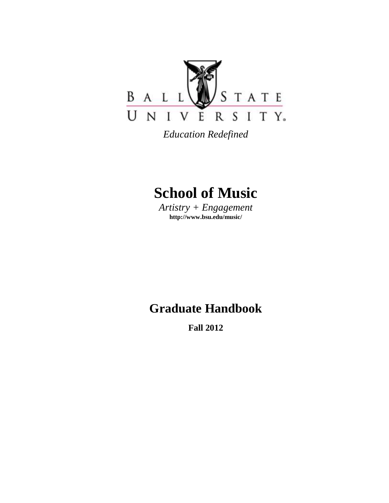

*Education Redefined*

# **School of Music**

*Artistry + Engagement* **http://www.bsu.edu/music/**

# **Graduate Handbook**

**Fall 2012**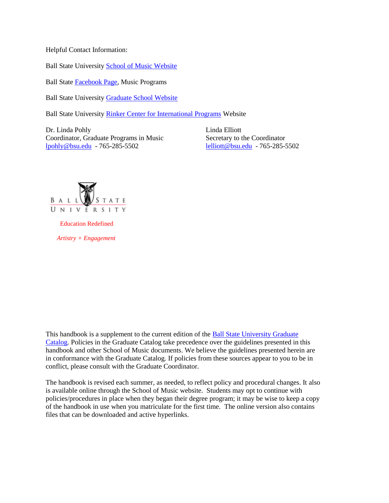Helpful Contact Information:

Ball State University [School of Music Website](http://www.bsu.edu/music)

Ball State [Facebook Page,](https://www.facebook.com/BallStateSchoolofMusic) Music Programs

Ball State University [Graduate School Website](http://cms.bsu.edu/Academics/CollegesandDepartments/GradSchool.aspx)

Ball State University [Rinker Center for International Programs](http://cms.bsu.edu/Academics/CentersandInstitutes/Rinker.aspx) Website

Dr. Linda Pohly Linda Elliott Coordinator, Graduate Programs in Music Secretary to the Coordinator [lpohly@bsu.edu](mailto:lpohly@bsu.edu) - 765-285-5502 [lelliott@bsu.edu](mailto:lelliott@bsu.edu) - 765-285-5502



 Education Redefined  *Artistry + Engagement*

This handbook is a supplement to the current edition of the Ball State University Graduate [Catalog.](http://cms.bsu.edu/Academics/CollegesandDepartments/GradSchool/Academics/GraduateCatalog.aspx) Policies in the Graduate Catalog take precedence over the guidelines presented in this handbook and other School of Music documents. We believe the guidelines presented herein are in conformance with the Graduate Catalog. If policies from these sources appear to you to be in conflict, please consult with the Graduate Coordinator.

The handbook is revised each summer, as needed, to reflect policy and procedural changes. It also is available online through the School of Music website. Students may opt to continue with policies/procedures in place when they began their degree program; it may be wise to keep a copy of the handbook in use when you matriculate for the first time. The online version also contains files that can be downloaded and active hyperlinks.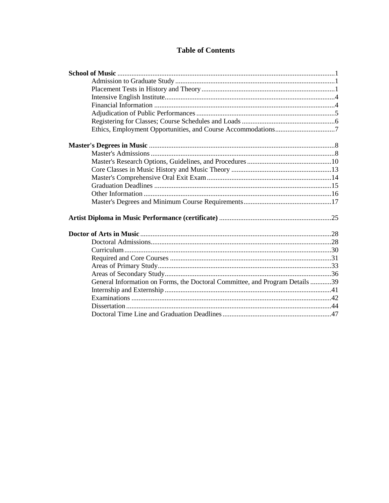# **Table of Contents**

| General Information on Forms, the Doctoral Committee, and Program Details 39 |  |
|------------------------------------------------------------------------------|--|
|                                                                              |  |
|                                                                              |  |
|                                                                              |  |
|                                                                              |  |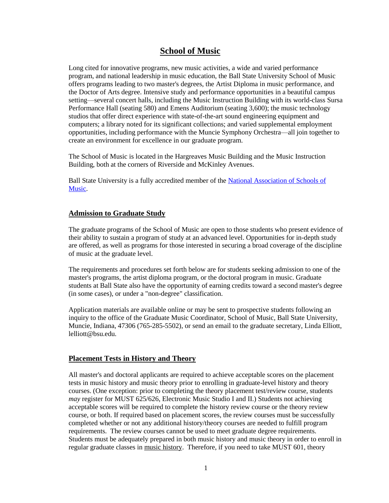# **School of Music**

Long cited for innovative programs, new music activities, a wide and varied performance program, and national leadership in music education, the Ball State University School of Music offers programs leading to two master's degrees, the Artist Diploma in music performance, and the Doctor of Arts degree. Intensive study and performance opportunities in a beautiful campus setting—several concert halls, including the Music Instruction Building with its world-class Sursa Performance Hall (seating 580) and Emens Auditorium (seating 3,600); the music technology studios that offer direct experience with state-of-the-art sound engineering equipment and computers; a library noted for its significant collections; and varied supplemental employment opportunities, including performance with the Muncie Symphony Orchestra—all join together to create an environment for excellence in our graduate program.

The School of Music is located in the Hargreaves Music Building and the Music Instruction Building, both at the corners of Riverside and McKinley Avenues.

Ball State University is a fully accredited member of the [National Association of Schools of](http://nasm.arts-accredit.org/)  [Music.](http://nasm.arts-accredit.org/)

### **Admission to Graduate Study**

The graduate programs of the School of Music are open to those students who present evidence of their ability to sustain a program of study at an advanced level. Opportunities for in-depth study are offered, as well as programs for those interested in securing a broad coverage of the discipline of music at the graduate level.

The requirements and procedures set forth below are for students seeking admission to one of the master's programs, the artist diploma program, or the doctoral program in music. Graduate students at Ball State also have the opportunity of earning credits toward a second master's degree (in some cases), or under a "non-degree" classification.

Application materials are available online or may be sent to prospective students following an inquiry to the office of the Graduate Music Coordinator, School of Music, Ball State University, Muncie, Indiana, 47306 (765-285-5502), or send an email to the graduate secretary, Linda Elliott, lelliott@bsu.edu.

### **Placement Tests in History and Theory**

All master's and doctoral applicants are required to achieve acceptable scores on the placement tests in music history and music theory prior to enrolling in graduate-level history and theory courses. (One exception: prior to completing the theory placement test/review course, students *may* register for MUST 625/626, Electronic Music Studio I and II.) Students not achieving acceptable scores will be required to complete the history review course or the theory review course, or both. If required based on placement scores, the review courses must be successfully completed whether or not any additional history/theory courses are needed to fulfill program requirements. The review courses cannot be used to meet graduate degree requirements. Students must be adequately prepared in both music history and music theory in order to enroll in regular graduate classes in music history. Therefore, if you need to take MUST 601, theory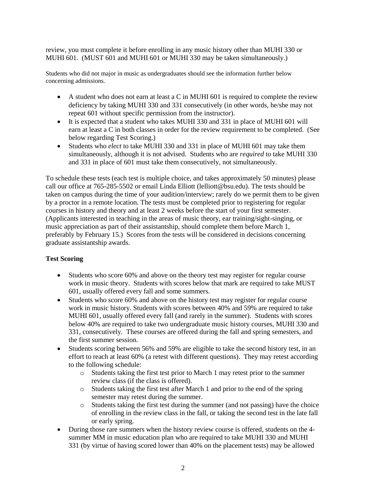review, you must complete it before enrolling in any music history other than MUHI 330 or MUHI 601. (MUST 601 and MUHI 601 or MUHI 330 may be taken simultaneously.)

Students who did not major in music as undergraduates should see the information further below concerning admissions.

- $\bullet$  A student who does not earn at least a C in MUHI 601 is required to complete the review deficiency by taking MUHI 330 and 331 consecutively (in other words, he/she may not repeat 601 without specific permission from the instructor).
- It is expected that a student who takes MUHI 330 and 331 in place of MUHI 601 will earn at least a C in both classes in order for the review requirement to be completed. (See below regarding Test Scoring.)
- Students who *elect* to take MUHI 330 and 331 in place of MUHI 601 may take them simultaneously, although it is not advised. Students who are *required* to take MUHI 330 and 331 in place of 601 must take them consecutively, not simultaneously.

To schedule these tests (each test is multiple choice, and takes approximately 50 minutes) please call our office at 765-285-5502 or email Linda Elliott (lelliott@bsu.edu). The tests should be taken on campus during the time of your audition/interview; rarely do we permit them to be given by a proctor in a remote location. The tests must be completed prior to registering for regular courses in history and theory and at least 2 weeks before the start of your first semester. (Applicants interested in teaching in the areas of music theory, ear training/sight-singing, or music appreciation as part of their assistantship, should complete them before March 1, preferably by February 15.) Scores from the tests will be considered in decisions concerning graduate assistantship awards.

### **Test Scoring**

- Students who score 60% and above on the theory test may register for regular course work in music theory. Students with scores below that mark are required to take MUST 601, usually offered every fall and some summers.
- Students who score 60% and above on the history test may register for regular course work in music history. Students with scores between 40% and 59% are required to take MUHI 601, usually offered every fall (and rarely in the summer). Students with scores below 40% are required to take two undergraduate music history courses, MUHI 330 and 331, consecutively. These courses are offered during the fall and spring semesters, and the first summer session.
- Students scoring between 56% and 59% are eligible to take the second history test, in an effort to reach at least 60% (a retest with different questions). They may retest according to the following schedule:
	- o Students taking the first test prior to March 1 may retest prior to the summer review class (if the class is offered).
	- o Students taking the first test after March 1 and prior to the end of the spring semester may retest during the summer.
	- o Students taking the first test during the summer (and not passing) have the choice of enrolling in the review class in the fall, or taking the second test in the late fall or early spring.
- During those rare summers when the history review course is offered, students on the 4 summer MM in music education plan who are required to take MUHI 330 and MUHI 331 (by virtue of having scored lower than 40% on the placement tests) may be allowed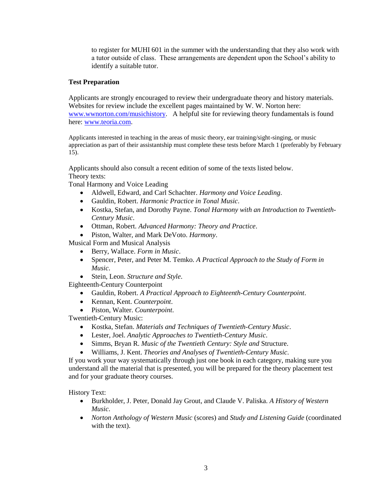to register for MUHI 601 in the summer with the understanding that they also work with a tutor outside of class. These arrangements are dependent upon the School's ability to identify a suitable tutor.

### **Test Preparation**

Applicants are strongly encouraged to review their undergraduate theory and history materials. Websites for review include the excellent pages maintained by W. W. Norton here: [www.wwnorton.com/musichistory.](http://www.wwnorton.com/musichistory) A helpful site for reviewing theory fundamentals is found here[: www.teoria.com.](http://www.teoria.com/)

Applicants interested in teaching in the areas of music theory, ear training/sight-singing, or music appreciation as part of their assistantship must complete these tests before March 1 (preferably by February 15).

Applicants should also consult a recent edition of some of the texts listed below. Theory texts:

Tonal Harmony and Voice Leading

- Aldwell, Edward, and Carl Schachter. *Harmony and Voice Leading*.
- Gauldin, Robert. *Harmonic Practice in Tonal Music*.
- Kostka, Stefan, and Dorothy Payne. *Tonal Harmony with an Introduction to Twentieth-Century Music*.
- Ottman, Robert. *Advanced Harmony: Theory and Practice*.
- Piston, Walter, and Mark DeVoto. *Harmony*.

Musical Form and Musical Analysis

- Berry, Wallace. *Form in Music*.
- Spencer, Peter, and Peter M. Temko. *A Practical Approach to the Study of Form in Music*.
- Stein, Leon. *Structure and Style*.

Eighteenth-Century Counterpoint

- Gauldin, Robert. *A Practical Approach to Eighteenth-Century Counterpoint*.
- Kennan, Kent. *Counterpoint*.
- Piston, Walter. *Counterpoint*.

Twentieth-Century Music:

- Kostka, Stefan. *Materials and Techniques of Twentieth-Century Music*.
- Lester, Joel. *Analytic Approaches to Twentieth-Century Music*.
- Simms, Bryan R. *Music of the Twentieth Century: Style and* Structure.
- Williams, J. Kent. *Theories and Analyses of Twentieth-Century Music*.

If you work your way systematically through just one book in each category, making sure you understand all the material that is presented, you will be prepared for the theory placement test and for your graduate theory courses.

History Text:

- Burkholder, J. Peter, Donald Jay Grout, and Claude V. Paliska. *A History of Western Music*.
- *Norton Anthology of Western Music* (scores) and *Study and Listening Guide* (coordinated with the text).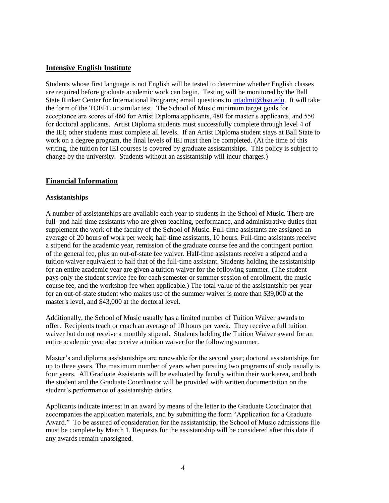### **Intensive English Institute**

Students whose first language is not English will be tested to determine whether English classes are required before graduate academic work can begin. Testing will be monitored by the Ball State Rinker Center for International Programs; email questions to [intadmit@bsu.edu.](mailto:intadmit@bsu.edu) It will take the form of the TOEFL or similar test. The School of Music minimum target goals for acceptance are scores of 460 for Artist Diploma applicants, 480 for master's applicants, and 550 for doctoral applicants. Artist Diploma students must successfully complete through level 4 of the IEI; other students must complete all levels. If an Artist Diploma student stays at Ball State to work on a degree program, the final levels of IEI must then be completed. (At the time of this writing, the tuition for IEI courses is covered by graduate assistantships. This policy is subject to change by the university. Students without an assistantship will incur charges.)

### **Financial Information**

#### **Assistantships**

A number of assistantships are available each year to students in the School of Music. There are full- and half-time assistants who are given teaching, performance, and administrative duties that supplement the work of the faculty of the School of Music. Full-time assistants are assigned an average of 20 hours of work per week; half-time assistants, 10 hours. Full-time assistants receive a stipend for the academic year, remission of the graduate course fee and the contingent portion of the general fee, plus an out-of-state fee waiver. Half-time assistants receive a stipend and a tuition waiver equivalent to half that of the full-time assistant. Students holding the assistantship for an entire academic year are given a tuition waiver for the following summer. (The student pays only the student service fee for each semester or summer session of enrollment, the music course fee, and the workshop fee when applicable.) The total value of the assistantship per year for an out-of-state student who makes use of the summer waiver is more than \$39,000 at the master's level, and \$43,000 at the doctoral level.

Additionally, the School of Music usually has a limited number of Tuition Waiver awards to offer. Recipients teach or coach an average of 10 hours per week. They receive a full tuition waiver but do not receive a monthly stipend. Students holding the Tuition Waiver award for an entire academic year also receive a tuition waiver for the following summer.

Master's and diploma assistantships are renewable for the second year; doctoral assistantships for up to three years. The maximum number of years when pursuing two programs of study usually is four years. All Graduate Assistants will be evaluated by faculty within their work area, and both the student and the Graduate Coordinator will be provided with written documentation on the student's performance of assistantship duties.

Applicants indicate interest in an award by means of the letter to the Graduate Coordinator that accompanies the application materials, and by submitting the form "Application for a Graduate Award." To be assured of consideration for the assistantship, the School of Music admissions file must be complete by March 1. Requests for the assistantship will be considered after this date if any awards remain unassigned.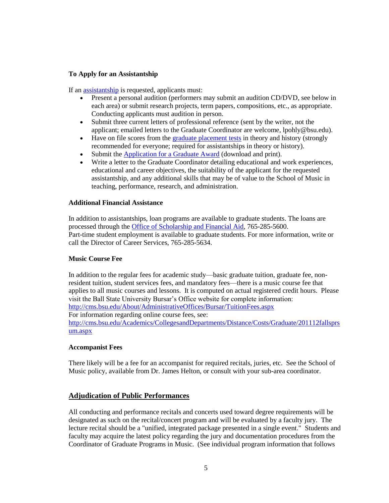### **To Apply for an Assistantship**

If an [assistantship](http://cms.bsu.edu/Academics/CollegesandDepartments/Music/AcademicsAuditions/Masters/GradAssist.aspx) is requested, applicants must:

- Present a personal audition (performers may submit an audition CD/DVD, see below in each area) or submit research projects, term papers, compositions, etc., as appropriate. Conducting applicants must audition in person.
- Submit three current letters of professional reference (sent by the writer, not the applicant; emailed letters to the Graduate Coordinator are welcome, lpohly@bsu.edu).
- Have on file scores from the [graduate placement tests](http://cms.bsu.edu/Academics/CollegesandDepartments/Music/AcademicsAuditions/Masters/GradPlaceTest.aspx) in theory and history (strongly recommended for everyone; required for assistantships in theory or history).
- Submit th[e Application for a Graduate Award](http://cms.bsu.edu/Academics/CollegesandDepartments/Music/AcademicsAuditions/Masters/~/media/DepartmentalContent/MusicSchool/PDF/applawrd.ashx) (download and print).
- Write a letter to the Graduate Coordinator detailing educational and work experiences, educational and career objectives, the suitability of the applicant for the requested assistantship, and any additional skills that may be of value to the School of Music in teaching, performance, research, and administration.

#### **Additional Financial Assistance**

In addition to assistantships, loan programs are available to graduate students. The loans are processed through the [Office of Scholarship and Financial Aid,](http://cms.bsu.edu/AdmissionsLanding/ScholarshipsandFinancialAid.aspx) 765-285-5600. Part-time student employment is available to graduate students. For more information, write or call the Director of Career Services, 765-285-5634.

### **Music Course Fee**

In addition to the regular fees for academic study—basic graduate tuition, graduate fee, nonresident tuition, student services fees, and mandatory fees—there is a music course fee that applies to all music courses and lessons. It is computed on actual registered credit hours. Please visit the Ball State University Bursar's Office website for complete information: <http://cms.bsu.edu/About/AdministrativeOffices/Bursar/TuitionFees.aspx>

For information regarding online course fees, see:

[http://cms.bsu.edu/Academics/CollegesandDepartments/Distance/Costs/Graduate/201112fallsprs](http://cms.bsu.edu/Academics/CollegesandDepartments/Distance/Costs/Graduate/201112fallsprsum.aspx) [um.aspx](http://cms.bsu.edu/Academics/CollegesandDepartments/Distance/Costs/Graduate/201112fallsprsum.aspx)

#### **Accompanist Fees**

There likely will be a fee for an accompanist for required recitals, juries, etc. See the School of Music policy, available from Dr. James Helton, or consult with your sub-area coordinator.

### **Adjudication of Public Performances**

All conducting and performance recitals and concerts used toward degree requirements will be designated as such on the recital/concert program and will be evaluated by a faculty jury. The lecture recital should be a "unified, integrated package presented in a single event." Students and faculty may acquire the latest policy regarding the jury and documentation procedures from the Coordinator of Graduate Programs in Music. (See individual program information that follows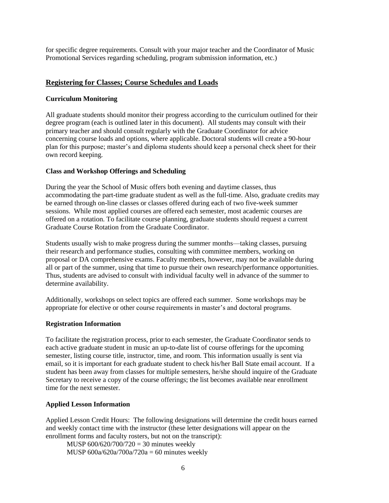for specific degree requirements. Consult with your major teacher and the Coordinator of Music Promotional Services regarding scheduling, program submission information, etc.)

### **Registering for Classes; Course Schedules and Loads**

#### **Curriculum Monitoring**

All graduate students should monitor their progress according to the curriculum outlined for their degree program (each is outlined later in this document). All students may consult with their primary teacher and should consult regularly with the Graduate Coordinator for advice concerning course loads and options, where applicable. Doctoral students will create a 90-hour plan for this purpose; master's and diploma students should keep a personal check sheet for their own record keeping.

#### **Class and Workshop Offerings and Scheduling**

During the year the School of Music offers both evening and daytime classes, thus accommodating the part-time graduate student as well as the full-time. Also, graduate credits may be earned through on-line classes or classes offered during each of two five-week summer sessions. While most applied courses are offered each semester, most academic courses are offered on a rotation. To facilitate course planning, graduate students should request a current Graduate Course Rotation from the Graduate Coordinator.

Students usually wish to make progress during the summer months—taking classes, pursuing their research and performance studies, consulting with committee members, working on proposal or DA comprehensive exams. Faculty members, however, may not be available during all or part of the summer, using that time to pursue their own research/performance opportunities. Thus, students are advised to consult with individual faculty well in advance of the summer to determine availability.

Additionally, workshops on select topics are offered each summer. Some workshops may be appropriate for elective or other course requirements in master's and doctoral programs.

#### **Registration Information**

To facilitate the registration process, prior to each semester, the Graduate Coordinator sends to each active graduate student in music an up-to-date list of course offerings for the upcoming semester, listing course title, instructor, time, and room. This information usually is sent via email, so it is important for each graduate student to check his/her Ball State email account. If a student has been away from classes for multiple semesters, he/she should inquire of the Graduate Secretary to receive a copy of the course offerings; the list becomes available near enrollment time for the next semester.

### **Applied Lesson Information**

Applied Lesson Credit Hours: The following designations will determine the credit hours earned and weekly contact time with the instructor (these letter designations will appear on the enrollment forms and faculty rosters, but not on the transcript):

 MUSP 600/620/700/720 = 30 minutes weekly MUSP  $600a/620a/700a/720a = 60$  minutes weekly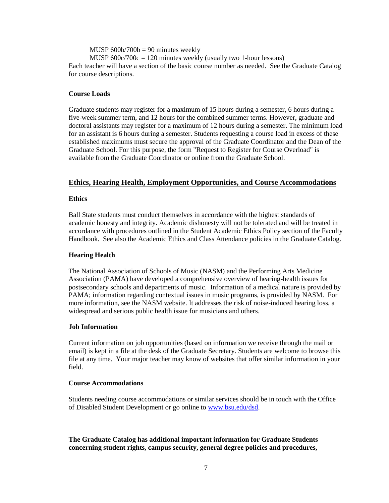$MUSP_000b/700b = 90$  minutes weekly MUSP  $600c/700c = 120$  minutes weekly (usually two 1-hour lessons) Each teacher will have a section of the basic course number as needed. See the Graduate Catalog for course descriptions.

#### **Course Loads**

Graduate students may register for a maximum of 15 hours during a semester, 6 hours during a five-week summer term, and 12 hours for the combined summer terms. However, graduate and doctoral assistants may register for a maximum of 12 hours during a semester. The minimum load for an assistant is 6 hours during a semester. Students requesting a course load in excess of these established maximums must secure the approval of the Graduate Coordinator and the Dean of the Graduate School. For this purpose, the form "Request to Register for Course Overload" is available from the Graduate Coordinator or online from the Graduate School.

### **Ethics, Hearing Health, Employment Opportunities, and Course Accommodations**

#### **Ethics**

Ball State students must conduct themselves in accordance with the highest standards of academic honesty and integrity. Academic dishonesty will not be tolerated and will be treated in accordance with procedures outlined in the Student Academic Ethics Policy section of the Faculty Handbook. See also the Academic Ethics and Class Attendance policies in the Graduate Catalog.

#### **Hearing Health**

The National Association of Schools of Music (NASM) and the Performing Arts Medicine Association (PAMA) have developed a comprehensive overview of hearing-health issues for postsecondary schools and departments of music. Information of a medical nature is provided by PAMA; information regarding contextual issues in music programs, is provided by NASM. For more information, see the NASM website. It addresses the risk of noise-induced hearing loss, a widespread and serious public health issue for musicians and others.

#### **Job Information**

Current information on job opportunities (based on information we receive through the mail or email) is kept in a file at the desk of the Graduate Secretary. Students are welcome to browse this file at any time. Your major teacher may know of websites that offer similar information in your field.

#### **Course Accommodations**

Students needing course accommodations or similar services should be in touch with the Office of Disabled Student Development or go online to [www.bsu.edu/dsd.](http://www.bsu.edu/dsd)

### **The Graduate Catalog has additional important information for Graduate Students concerning student rights, campus security, general degree policies and procedures,**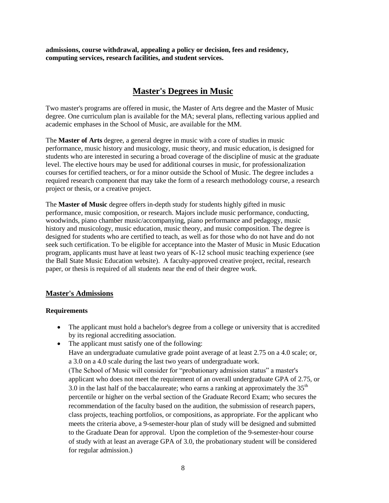**admissions, course withdrawal, appealing a policy or decision, fees and residency, computing services, research facilities, and student services.**

# **Master's Degrees in Music**

Two master's programs are offered in music, the Master of Arts degree and the Master of Music degree. One curriculum plan is available for the MA; several plans, reflecting various applied and academic emphases in the School of Music, are available for the MM.

The **Master of Arts** degree, a general degree in music with a core of studies in music performance, music history and musicology, music theory, and music education, is designed for students who are interested in securing a broad coverage of the discipline of music at the graduate level. The elective hours may be used for additional courses in music, for professionalization courses for certified teachers, or for a minor outside the School of Music. The degree includes a required research component that may take the form of a research methodology course, a research project or thesis, or a creative project.

The **Master of Music** degree offers in-depth study for students highly gifted in music performance, music composition, or research. Majors include music performance, conducting, woodwinds, piano chamber music/accompanying, piano performance and pedagogy, music history and musicology, music education, music theory, and music composition. The degree is designed for students who are certified to teach, as well as for those who do not have and do not seek such certification. To be eligible for acceptance into the Master of Music in Music Education program, applicants must have at least two years of K-12 school music teaching experience (see the Ball State Music Education website). A faculty-approved creative project, recital, research paper, or thesis is required of all students near the end of their degree work.

### **Master's Admissions**

### **Requirements**

- The applicant must hold a bachelor's degree from a college or university that is accredited by its regional accrediting association.
- The applicant must satisfy one of the following: Have an undergraduate cumulative grade point average of at least 2.75 on a 4.0 scale; or, a 3.0 on a 4.0 scale during the last two years of undergraduate work. (The School of Music will consider for "probationary admission status" a master's applicant who does not meet the requirement of an overall undergraduate GPA of 2.75, or 3.0 in the last half of the baccalaureate; who earns a ranking at approximately the  $35<sup>th</sup>$ percentile or higher on the verbal section of the Graduate Record Exam; who secures the recommendation of the faculty based on the audition, the submission of research papers, class projects, teaching portfolios, or compositions, as appropriate. For the applicant who meets the criteria above, a 9-semester-hour plan of study will be designed and submitted to the Graduate Dean for approval. Upon the completion of the 9-semester-hour course of study with at least an average GPA of 3.0, the probationary student will be considered for regular admission.)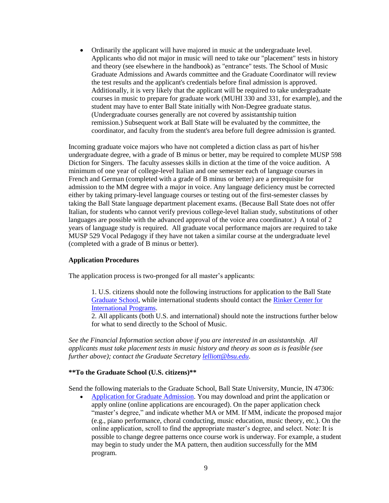Ordinarily the applicant will have majored in music at the undergraduate level. Applicants who did not major in music will need to take our "placement" tests in history and theory (see elsewhere in the handbook) as "entrance" tests. The School of Music Graduate Admissions and Awards committee and the Graduate Coordinator will review the test results and the applicant's credentials before final admission is approved. Additionally, it is very likely that the applicant will be required to take undergraduate courses in music to prepare for graduate work (MUHI 330 and 331, for example), and the student may have to enter Ball State initially with Non-Degree graduate status. (Undergraduate courses generally are not covered by assistantship tuition remission.) Subsequent work at Ball State will be evaluated by the committee, the coordinator, and faculty from the student's area before full degree admission is granted.

Incoming graduate voice majors who have not completed a diction class as part of his/her undergraduate degree, with a grade of B minus or better, may be required to complete MUSP 598 Diction for Singers. The faculty assesses skills in diction at the time of the voice audition. A minimum of one year of college-level Italian and one semester each of language courses in French and German (completed with a grade of B minus or better) are a prerequisite for admission to the MM degree with a major in voice. Any language deficiency must be corrected either by taking primary-level language courses or testing out of the first-semester classes by taking the Ball State language department placement exams*.* (Because Ball State does not offer Italian, for students who cannot verify previous college-level Italian study, substitutions of other languages are possible with the advanced approval of the voice area coordinator.) A total of 2 years of language study is required. All graduate vocal performance majors are required to take MUSP 529 Vocal Pedagogy if they have not taken a similar course at the undergraduate level (completed with a grade of B minus or better).

#### **Application Procedures**

The application process is two-pronged for all master's applicants:

1. U.S. citizens should note the following instructions for application to the Ball State [Graduate School,](http://cms.bsu.edu/Academics/CollegesandDepartments/GradSchool/Admissions.aspx) while international students should contact the [Rinker Center for](http://cms.bsu.edu/AdmissionsLanding/International.aspx)  [International Programs.](http://cms.bsu.edu/AdmissionsLanding/International.aspx)

2. All applicants (both U.S. and international) should note the instructions further below for what to send directly to the School of Music.

*See the Financial Information section above if you are interested in an assistantship. All applicants must take placement tests in music history and theory as soon as is feasible (see further above); contact the Graduate Secretary [lelliott@bsu.edu](mailto:lelliott@bsu.edu)*.

#### **\*\*To the Graduate School (U.S. citizens)\*\***

Send the following materials to the Graduate School, Ball State University, Muncie, IN 47306:

 [Application for Graduate Admission.](http://cms.bsu.edu/Academics/CollegesandDepartments/GradSchool/ApplyNow.aspx) You may download and print the application or apply online (online applications are encouraged). On the paper application check "master's degree," and indicate whether MA or MM. If MM, indicate the proposed major (e.g., piano performance, choral conducting, music education, music theory, etc.). On the online application, scroll to find the appropriate master's degree, and select. Note: It is possible to change degree patterns once course work is underway. For example, a student may begin to study under the MA pattern, then audition successfully for the MM program.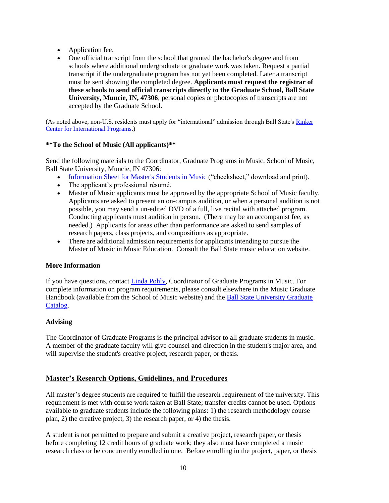- Application fee.
- One official transcript from the school that granted the bachelor's degree and from schools where additional undergraduate or graduate work was taken. Request a partial transcript if the undergraduate program has not yet been completed. Later a transcript must be sent showing the completed degree. **Applicants must request the registrar of these schools to send official transcripts directly to the Graduate School, Ball State University, Muncie, IN, 47306**; personal copies or photocopies of transcripts are not accepted by the Graduate School.

(As noted above, non-U.S. residents must apply for "international" admission through Ball State's Rinker [Center for International Programs.](http://cms.bsu.edu/AdmissionsLanding/International.aspx))

### **\*\*To the School of Music (All applicants)\*\***

Send the following materials to the Coordinator, Graduate Programs in Music, School of Music, Ball State University, Muncie, IN 47306:

- [Information Sheet for Master's Students in Music](http://cms.bsu.edu/Academics/CollegesandDepartments/Music/AcademicsAuditions/Masters/~/media/DepartmentalContent/MusicSchool/PDF/masterscheck.ashx) ("checksheet," download and print).
- The applicant's professional résumé.
- Master of Music applicants must be approved by the appropriate School of Music faculty. Applicants are asked to present an on-campus audition, or when a personal audition is not possible, you may send a un-edited DVD of a full, live recital with attached program. Conducting applicants must audition in person. (There may be an accompanist fee, as needed.) Applicants for areas other than performance are asked to send samples of research papers, class projects, and compositions as appropriate.
- There are additional admission requirements for applicants intending to pursue the Master of Music in Music Education. Consult the Ball State music education website.

### **More Information**

If you have questions, contact [Linda Pohly,](mailto:lpohly@bsu.edu) Coordinator of Graduate Programs in Music. For complete information on program requirements, please consult elsewhere in the Music Graduate Handbook (available from the School of Music website) and the [Ball State University Graduate](http://cms.bsu.edu/Academics/CollegesandDepartments/GradSchool/Academics/GraduateCatalog.aspx)  [Catalog.](http://cms.bsu.edu/Academics/CollegesandDepartments/GradSchool/Academics/GraduateCatalog.aspx)

### **Advising**

The Coordinator of Graduate Programs is the principal advisor to all graduate students in music. A member of the graduate faculty will give counsel and direction in the student's major area, and will supervise the student's creative project, research paper, or thesis.

### **Master's Research Options, Guidelines, and Procedures**

All master's degree students are required to fulfill the research requirement of the university. This requirement is met with course work taken at Ball State; transfer credits cannot be used. Options available to graduate students include the following plans: 1) the research methodology course plan, 2) the creative project, 3) the research paper, or 4) the thesis.

A student is not permitted to prepare and submit a creative project, research paper, or thesis before completing 12 credit hours of graduate work; they also must have completed a music research class or be concurrently enrolled in one. Before enrolling in the project, paper, or thesis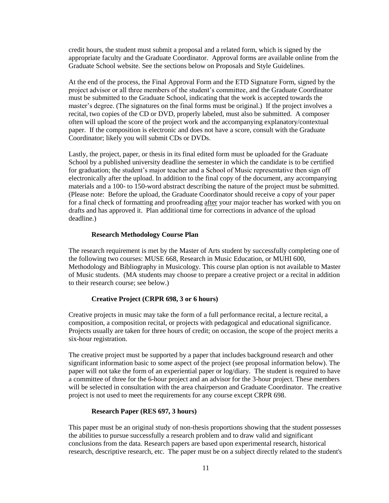credit hours, the student must submit a proposal and a related form, which is signed by the appropriate faculty and the Graduate Coordinator. Approval forms are available online from the Graduate School website*.* See the sections below on Proposals and Style Guidelines.

At the end of the process, the Final Approval Form and the ETD Signature Form, signed by the project advisor or all three members of the student's committee, and the Graduate Coordinator must be submitted to the Graduate School, indicating that the work is accepted towards the master's degree. (The signatures on the final forms must be original.) If the project involves a recital, two copies of the CD or DVD, properly labeled, must also be submitted. A composer often will upload the score of the project work and the accompanying explanatory/contextual paper. If the composition is electronic and does not have a score, consult with the Graduate Coordinator; likely you will submit CDs or DVDs.

Lastly, the project, paper, or thesis in its final edited form must be uploaded for the Graduate School by a published university deadline the semester in which the candidate is to be certified for graduation; the student's major teacher and a School of Music representative then sign off electronically after the upload. In addition to the final copy of the document, any accompanying materials and a 100- to 150-word abstract describing the nature of the project must be submitted. (Please note: Before the upload, the Graduate Coordinator should receive a copy of your paper for a final check of formatting and proofreading after your major teacher has worked with you on drafts and has approved it. Plan additional time for corrections in advance of the upload deadline.)

#### **Research Methodology Course Plan**

The research requirement is met by the Master of Arts student by successfully completing one of the following two courses: MUSE 668, Research in Music Education, or MUHI 600, Methodology and Bibliography in Musicology. This course plan option is not available to Master of Music students. (MA students may choose to prepare a creative project or a recital in addition to their research course; see below.)

#### **Creative Project (CRPR 698, 3 or 6 hours)**

Creative projects in music may take the form of a full performance recital, a lecture recital, a composition, a composition recital, or projects with pedagogical and educational significance. Projects usually are taken for three hours of credit; on occasion, the scope of the project merits a six-hour registration.

The creative project must be supported by a paper that includes background research and other significant information basic to some aspect of the project (see proposal information below). The paper will not take the form of an experiential paper or log/diary. The student is required to have a committee of three for the 6-hour project and an advisor for the 3-hour project. These members will be selected in consultation with the area chairperson and Graduate Coordinator. The creative project is not used to meet the requirements for any course except CRPR 698.

#### **Research Paper (RES 697, 3 hours)**

This paper must be an original study of non-thesis proportions showing that the student possesses the abilities to pursue successfully a research problem and to draw valid and significant conclusions from the data. Research papers are based upon experimental research, historical research, descriptive research, etc. The paper must be on a subject directly related to the student's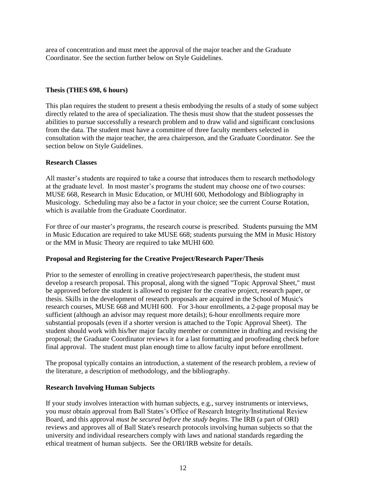area of concentration and must meet the approval of the major teacher and the Graduate Coordinator. See the section further below on Style Guidelines.

### **Thesis (THES 698, 6 hours)**

This plan requires the student to present a thesis embodying the results of a study of some subject directly related to the area of specialization. The thesis must show that the student possesses the abilities to pursue successfully a research problem and to draw valid and significant conclusions from the data. The student must have a committee of three faculty members selected in consultation with the major teacher, the area chairperson, and the Graduate Coordinator. See the section below on Style Guidelines.

### **Research Classes**

All master's students are required to take a course that introduces them to research methodology at the graduate level. In most master's programs the student may choose one of two courses: MUSE 668, Research in Music Education, or MUHI 600, Methodology and Bibliography in Musicology. Scheduling may also be a factor in your choice; see the current Course Rotation, which is available from the Graduate Coordinator.

For three of our master's programs, the research course is prescribed. Students pursuing the MM in Music Education are required to take MUSE 668; students pursuing the MM in Music History or the MM in Music Theory are required to take MUHI 600.

### **Proposal and Registering for the Creative Project/Research Paper/Thesis**

Prior to the semester of enrolling in creative project/research paper/thesis, the student must develop a research proposal. This proposal, along with the signed "Topic Approval Sheet," must be approved before the student is allowed to register for the creative project, research paper, or thesis. Skills in the development of research proposals are acquired in the School of Music's research courses, MUSE 668 and MUHI 600. For 3-hour enrollments, a 2-page proposal may be sufficient (although an advisor may request more details); 6-hour enrollments require more substantial proposals (even if a shorter version is attached to the Topic Approval Sheet). The student should work with his/her major faculty member or committee in drafting and revising the proposal; the Graduate Coordinator reviews it for a last formatting and proofreading check before final approval. The student must plan enough time to allow faculty input before enrollment.

The proposal typically contains an introduction, a statement of the research problem, a review of the literature, a description of methodology, and the bibliography.

### **Research Involving Human Subjects**

If your study involves interaction with human subjects, e.g., survey instruments or interviews, you *must* obtain approval from Ball States's Office of Research Integrity/Institutional Review Board, and this approval *must be secured before the study begins*. The IRB (a part of ORI) reviews and approves all of Ball State's research protocols involving human subjects so that the university and individual researchers comply with laws and national standards regarding the ethical treatment of human subjects. See the ORI/IRB website for details.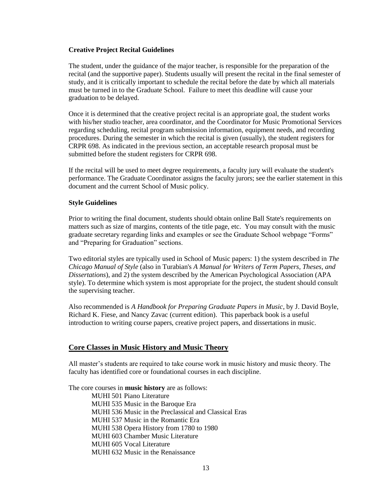#### **Creative Project Recital Guidelines**

The student, under the guidance of the major teacher, is responsible for the preparation of the recital (and the supportive paper). Students usually will present the recital in the final semester of study, and it is critically important to schedule the recital before the date by which all materials must be turned in to the Graduate School. Failure to meet this deadline will cause your graduation to be delayed.

Once it is determined that the creative project recital is an appropriate goal, the student works with his/her studio teacher, area coordinator, and the Coordinator for Music Promotional Services regarding scheduling, recital program submission information, equipment needs, and recording procedures. During the semester in which the recital is given (usually), the student registers for CRPR 698. As indicated in the previous section, an acceptable research proposal must be submitted before the student registers for CRPR 698.

If the recital will be used to meet degree requirements, a faculty jury will evaluate the student's performance. The Graduate Coordinator assigns the faculty jurors; see the earlier statement in this document and the current School of Music policy.

### **Style Guidelines**

Prior to writing the final document, students should obtain online Ball State's requirements on matters such as size of margins, contents of the title page, etc. You may consult with the music graduate secretary regarding links and examples or see the Graduate School webpage "Forms" and "Preparing for Graduation" sections.

Two editorial styles are typically used in School of Music papers: 1) the system described in *The Chicago Manual of Style* (also in Turabian's *A Manual for Writers of Term Papers, Theses, and Dissertations*), and 2) the system described by the American Psychological Association (APA style). To determine which system is most appropriate for the project, the student should consult the supervising teacher.

Also recommended is *A Handbook for Preparing Graduate Papers in Music*, by J. David Boyle, Richard K. Fiese, and Nancy Zavac (current edition). This paperback book is a useful introduction to writing course papers, creative project papers, and dissertations in music.

### **Core Classes in Music History and Music Theory**

All master's students are required to take course work in music history and music theory. The faculty has identified core or foundational courses in each discipline.

The core courses in **music history** are as follows: MUHI 501 Piano Literature MUHI 535 Music in the Baroque Era MUHI 536 Music in the Preclassical and Classical Eras MUHI 537 Music in the Romantic Era MUHI 538 Opera History from 1780 to 1980 MUHI 603 Chamber Music Literature MUHI 605 Vocal Literature MUHI 632 Music in the Renaissance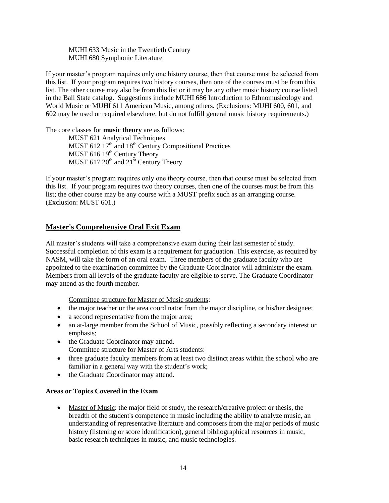MUHI 633 Music in the Twentieth Century MUHI 680 Symphonic Literature

If your master's program requires only one history course, then that course must be selected from this list. If your program requires two history courses, then one of the courses must be from this list. The other course may also be from this list or it may be any other music history course listed in the Ball State catalog. Suggestions include MUHI 686 Introduction to Ethnomusicology and World Music or MUHI 611 American Music, among others. (Exclusions: MUHI 600, 601, and 602 may be used or required elsewhere, but do not fulfill general music history requirements.)

The core classes for **music theory** are as follows:

MUST 621 Analytical Techniques MUST 612  $17<sup>th</sup>$  and  $18<sup>th</sup>$  Century Compositional Practices MUST 616 19<sup>th</sup> Century Theory MUST 617  $20^{th}$  and  $21^{st}$  Century Theory

If your master's program requires only one theory course, then that course must be selected from this list. If your program requires two theory courses, then one of the courses must be from this list; the other course may be any course with a MUST prefix such as an arranging course. (Exclusion: MUST 601.)

### **Master's Comprehensive Oral Exit Exam**

All master's students will take a comprehensive exam during their last semester of study. Successful completion of this exam is a requirement for graduation. This exercise, as required by NASM, will take the form of an oral exam. Three members of the graduate faculty who are appointed to the examination committee by the Graduate Coordinator will administer the exam. Members from all levels of the graduate faculty are eligible to serve. The Graduate Coordinator may attend as the fourth member.

Committee structure for Master of Music students:

- the major teacher or the area coordinator from the major discipline, or his/her designee;
- a second representative from the major area;
- an at-large member from the School of Music, possibly reflecting a secondary interest or emphasis;
- the Graduate Coordinator may attend. Committee structure for Master of Arts students:
- three graduate faculty members from at least two distinct areas within the school who are familiar in a general way with the student's work;
- the Graduate Coordinator may attend.

### **Areas or Topics Covered in the Exam**

 Master of Music: the major field of study, the research/creative project or thesis, the breadth of the student's competence in music including the ability to analyze music, an understanding of representative literature and composers from the major periods of music history (listening or score identification), general bibliographical resources in music, basic research techniques in music, and music technologies.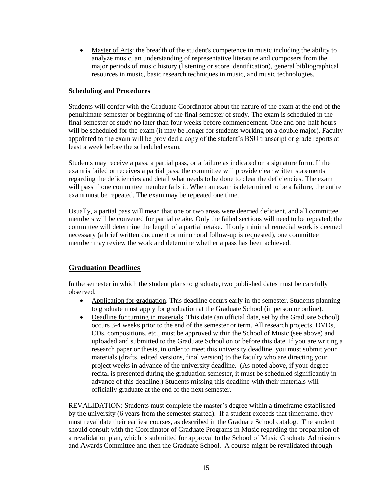Master of Arts: the breadth of the student's competence in music including the ability to analyze music, an understanding of representative literature and composers from the major periods of music history (listening or score identification), general bibliographical resources in music, basic research techniques in music, and music technologies.

#### **Scheduling and Procedures**

Students will confer with the Graduate Coordinator about the nature of the exam at the end of the penultimate semester or beginning of the final semester of study. The exam is scheduled in the final semester of study no later than four weeks before commencement. One and one-half hours will be scheduled for the exam (it may be longer for students working on a double major). Faculty appointed to the exam will be provided a copy of the student's BSU transcript or grade reports at least a week before the scheduled exam.

Students may receive a pass, a partial pass, or a failure as indicated on a signature form. If the exam is failed or receives a partial pass, the committee will provide clear written statements regarding the deficiencies and detail what needs to be done to clear the deficiencies. The exam will pass if one committee member fails it. When an exam is determined to be a failure, the entire exam must be repeated. The exam may be repeated one time.

Usually, a partial pass will mean that one or two areas were deemed deficient, and all committee members will be convened for partial retake. Only the failed sections will need to be repeated; the committee will determine the length of a partial retake. If only minimal remedial work is deemed necessary (a brief written document or minor oral follow-up is requested), one committee member may review the work and determine whether a pass has been achieved.

### **Graduation Deadlines**

In the semester in which the student plans to graduate, two published dates must be carefully observed.

- Application for graduation. This deadline occurs early in the semester. Students planning to graduate must apply for graduation at the Graduate School (in person or online).
- Deadline for turning in materials. This date (an official date, set by the Graduate School) occurs 3-4 weeks prior to the end of the semester or term. All research projects, DVDs, CDs, compositions, etc., must be approved within the School of Music (see above) and uploaded and submitted to the Graduate School on or before this date. If you are writing a research paper or thesis, in order to meet this university deadline, you must submit your materials (drafts, edited versions, final version) to the faculty who are directing your project weeks in advance of the university deadline. (As noted above, if your degree recital is presented during the graduation semester, it must be scheduled significantly in advance of this deadline.) Students missing this deadline with their materials will officially graduate at the end of the next semester.

REVALIDATION: Students must complete the master's degree within a timeframe established by the university (6 years from the semester started). If a student exceeds that timeframe, they must revalidate their earliest courses, as described in the Graduate School catalog. The student should consult with the Coordinator of Graduate Programs in Music regarding the preparation of a revalidation plan, which is submitted for approval to the School of Music Graduate Admissions and Awards Committee and then the Graduate School. A course might be revalidated through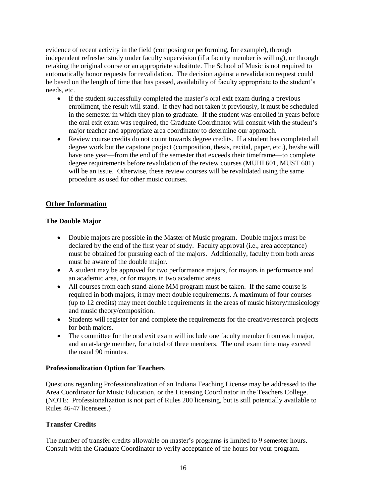evidence of recent activity in the field (composing or performing, for example), through independent refresher study under faculty supervision (if a faculty member is willing), or through retaking the original course or an appropriate substitute. The School of Music is not required to automatically honor requests for revalidation. The decision against a revalidation request could be based on the length of time that has passed, availability of faculty appropriate to the student's needs, etc.

- If the student successfully completed the master's oral exit exam during a previous enrollment, the result will stand. If they had not taken it previously, it must be scheduled in the semester in which they plan to graduate. If the student was enrolled in years before the oral exit exam was required, the Graduate Coordinator will consult with the student's major teacher and appropriate area coordinator to determine our approach.
- Review course credits do not count towards degree credits. If a student has completed all degree work but the capstone project (composition, thesis, recital, paper, etc.), he/she will have one year—from the end of the semester that exceeds their timeframe—to complete degree requirements before revalidation of the review courses (MUHI 601, MUST 601) will be an issue. Otherwise, these review courses will be revalidated using the same procedure as used for other music courses.

### **Other Information**

### **The Double Major**

- Double majors are possible in the Master of Music program. Double majors must be declared by the end of the first year of study. Faculty approval (i.e., area acceptance) must be obtained for pursuing each of the majors. Additionally, faculty from both areas must be aware of the double major.
- A student may be approved for two performance majors, for majors in performance and an academic area, or for majors in two academic areas.
- All courses from each stand-alone MM program must be taken. If the same course is required in both majors, it may meet double requirements. A maximum of four courses (up to 12 credits) may meet double requirements in the areas of music history/musicology and music theory/composition.
- Students will register for and complete the requirements for the creative/research projects for both majors.
- The committee for the oral exit exam will include one faculty member from each major, and an at-large member, for a total of three members. The oral exam time may exceed the usual 90 minutes.

### **Professionalization Option for Teachers**

Questions regarding Professionalization of an Indiana Teaching License may be addressed to the Area Coordinator for Music Education, or the Licensing Coordinator in the Teachers College. (NOTE: Professionalization is not part of Rules 200 licensing, but is still potentially available to Rules 46-47 licensees.)

### **Transfer Credits**

The number of transfer credits allowable on master's programs is limited to 9 semester hours. Consult with the Graduate Coordinator to verify acceptance of the hours for your program.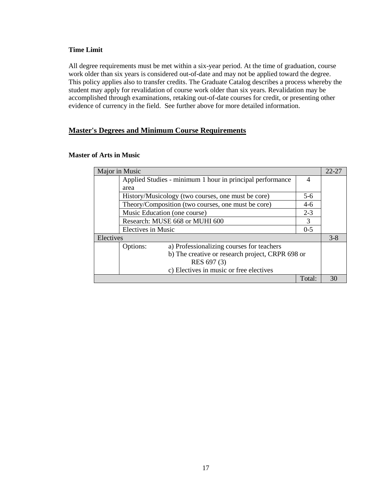### **Time Limit**

All degree requirements must be met within a six-year period. At the time of graduation, course work older than six years is considered out-of-date and may not be applied toward the degree. This policy applies also to transfer credits. The Graduate Catalog describes a process whereby the student may apply for revalidation of course work older than six years. Revalidation may be accomplished through examinations, retaking out-of-date courses for credit, or presenting other evidence of currency in the field. See further above for more detailed information.

### **Master's Degrees and Minimum Course Requirements**

| Major in Music |                    |                                                           | 22-27          |    |
|----------------|--------------------|-----------------------------------------------------------|----------------|----|
|                |                    | Applied Studies - minimum 1 hour in principal performance | $\overline{4}$ |    |
|                | area               |                                                           |                |    |
|                |                    | History/Musicology (two courses, one must be core)        | $5-6$          |    |
|                |                    | Theory/Composition (two courses, one must be core)        | $4-6$          |    |
|                |                    | Music Education (one course)                              | $2 - 3$        |    |
|                |                    | Research: MUSE 668 or MUHI 600                            | 3              |    |
|                | Electives in Music |                                                           | $0 - 5$        |    |
|                | Electives          |                                                           | $3 - 8$        |    |
|                | Options:           | a) Professionalizing courses for teachers                 |                |    |
|                |                    | b) The creative or research project, CRPR 698 or          |                |    |
|                |                    | RES 697 (3)                                               |                |    |
|                |                    | c) Electives in music or free electives                   |                |    |
|                |                    |                                                           | Total:         | 30 |

#### **Master of Arts in Music**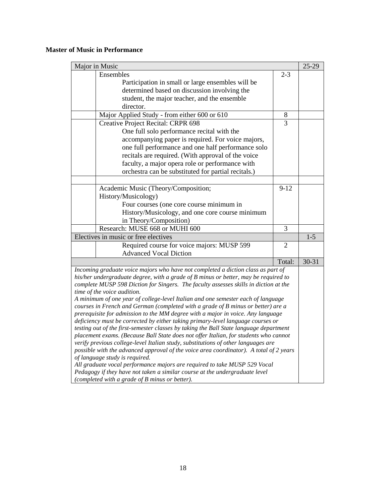### **Master of Music in Performance**

|                                                                                                                                                                                | Major in Music                                                                         |                | 25-29     |
|--------------------------------------------------------------------------------------------------------------------------------------------------------------------------------|----------------------------------------------------------------------------------------|----------------|-----------|
|                                                                                                                                                                                | Ensembles                                                                              | $2 - 3$        |           |
|                                                                                                                                                                                | Participation in small or large ensembles will be                                      |                |           |
|                                                                                                                                                                                | determined based on discussion involving the                                           |                |           |
|                                                                                                                                                                                | student, the major teacher, and the ensemble                                           |                |           |
|                                                                                                                                                                                | director.                                                                              |                |           |
|                                                                                                                                                                                | Major Applied Study - from either 600 or 610                                           | $8\phantom{1}$ |           |
|                                                                                                                                                                                | Creative Project Recital: CRPR 698                                                     | $\overline{3}$ |           |
|                                                                                                                                                                                | One full solo performance recital with the                                             |                |           |
|                                                                                                                                                                                | accompanying paper is required. For voice majors,                                      |                |           |
|                                                                                                                                                                                | one full performance and one half performance solo                                     |                |           |
|                                                                                                                                                                                | recitals are required. (With approval of the voice                                     |                |           |
|                                                                                                                                                                                | faculty, a major opera role or performance with                                        |                |           |
|                                                                                                                                                                                | orchestra can be substituted for partial recitals.)                                    |                |           |
|                                                                                                                                                                                |                                                                                        |                |           |
|                                                                                                                                                                                | Academic Music (Theory/Composition;                                                    | $9-12$         |           |
|                                                                                                                                                                                | History/Musicology)                                                                    |                |           |
|                                                                                                                                                                                | Four courses (one core course minimum in                                               |                |           |
|                                                                                                                                                                                | History/Musicology, and one core course minimum                                        |                |           |
|                                                                                                                                                                                | in Theory/Composition)                                                                 |                |           |
|                                                                                                                                                                                | Research: MUSE 668 or MUHI 600                                                         | 3              |           |
|                                                                                                                                                                                | Electives in music or free electives                                                   |                | $1-5$     |
|                                                                                                                                                                                | Required course for voice majors: MUSP 599                                             | $\overline{2}$ |           |
|                                                                                                                                                                                | <b>Advanced Vocal Diction</b>                                                          |                |           |
|                                                                                                                                                                                |                                                                                        | Total:         | $30 - 31$ |
|                                                                                                                                                                                | Incoming graduate voice majors who have not completed a diction class as part of       |                |           |
|                                                                                                                                                                                | his/her undergraduate degree, with a grade of B minus or better, may be required to    |                |           |
|                                                                                                                                                                                | complete MUSP 598 Diction for Singers. The faculty assesses skills in diction at the   |                |           |
|                                                                                                                                                                                | time of the voice audition.                                                            |                |           |
|                                                                                                                                                                                | A minimum of one year of college-level Italian and one semester each of language       |                |           |
|                                                                                                                                                                                | courses in French and German (completed with a grade of B minus or better) are a       |                |           |
|                                                                                                                                                                                | prerequisite for admission to the MM degree with a major in voice. Any language        |                |           |
|                                                                                                                                                                                | deficiency must be corrected by either taking primary-level language courses or        |                |           |
| testing out of the first-semester classes by taking the Ball State language department<br>placement exams. (Because Ball State does not offer Italian, for students who cannot |                                                                                        |                |           |
|                                                                                                                                                                                | verify previous college-level Italian study, substitutions of other languages are      |                |           |
|                                                                                                                                                                                | possible with the advanced approval of the voice area coordinator). A total of 2 years |                |           |
|                                                                                                                                                                                | of language study is required.                                                         |                |           |
|                                                                                                                                                                                | All graduate vocal performance majors are required to take MUSP 529 Vocal              |                |           |
|                                                                                                                                                                                | Pedagogy if they have not taken a similar course at the undergraduate level            |                |           |
|                                                                                                                                                                                | (completed with a grade of B minus or better).                                         |                |           |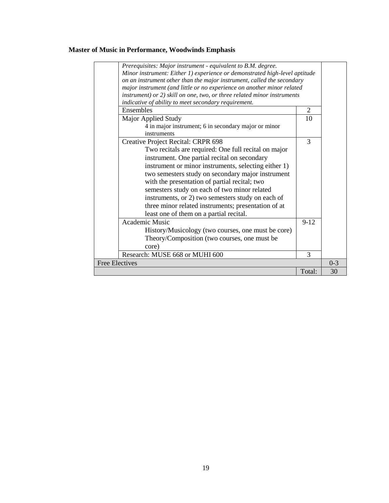# **Master of Music in Performance, Woodwinds Emphasis**

| Prerequisites: Major instrument - equivalent to B.M. degree.<br>Minor instrument: Either 1) experience or demonstrated high-level aptitude<br>on an instrument other than the major instrument, called the secondary<br>major instrument (and little or no experience on another minor related<br>instrument) or 2) skill on one, two, or three related minor instruments<br>indicative of ability to meet secondary requirement.                                                                               |          |         |
|-----------------------------------------------------------------------------------------------------------------------------------------------------------------------------------------------------------------------------------------------------------------------------------------------------------------------------------------------------------------------------------------------------------------------------------------------------------------------------------------------------------------|----------|---------|
| Ensembles                                                                                                                                                                                                                                                                                                                                                                                                                                                                                                       | 2        |         |
| Major Applied Study<br>4 in major instrument; 6 in secondary major or minor<br>instruments                                                                                                                                                                                                                                                                                                                                                                                                                      | 10       |         |
| Creative Project Recital: CRPR 698<br>Two recitals are required: One full recital on major<br>instrument. One partial recital on secondary<br>instrument or minor instruments, selecting either 1)<br>two semesters study on secondary major instrument<br>with the presentation of partial recital; two<br>semesters study on each of two minor related<br>instruments, or 2) two semesters study on each of<br>three minor related instruments; presentation of at<br>least one of them on a partial recital. | 3        |         |
| Academic Music                                                                                                                                                                                                                                                                                                                                                                                                                                                                                                  | $9 - 12$ |         |
| History/Musicology (two courses, one must be core)<br>Theory/Composition (two courses, one must be<br>core)                                                                                                                                                                                                                                                                                                                                                                                                     |          |         |
| Research: MUSE 668 or MUHI 600                                                                                                                                                                                                                                                                                                                                                                                                                                                                                  | 3        |         |
| <b>Free Electives</b>                                                                                                                                                                                                                                                                                                                                                                                                                                                                                           |          | $0 - 3$ |
|                                                                                                                                                                                                                                                                                                                                                                                                                                                                                                                 | Total:   | 30      |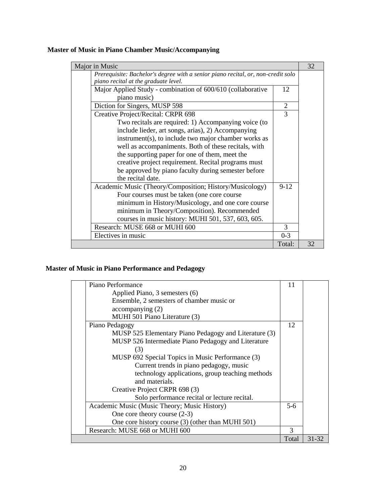# **Master of Music in Piano Chamber Music/Accompanying**

| Major in Music                                                                   |         | 32 |
|----------------------------------------------------------------------------------|---------|----|
| Prerequisite: Bachelor's degree with a senior piano recital, or, non-credit solo |         |    |
| piano recital at the graduate level.                                             |         |    |
| Major Applied Study - combination of 600/610 (collaborative                      | 12      |    |
| piano music)                                                                     |         |    |
| Diction for Singers, MUSP 598                                                    | 2       |    |
| Creative Project/Recital: CRPR 698                                               | 3       |    |
| Two recitals are required: 1) Accompanying voice (to                             |         |    |
| include lieder, art songs, arias), 2) Accompanying                               |         |    |
| instrument(s), to include two major chamber works as                             |         |    |
| well as accompaniments. Both of these recitals, with                             |         |    |
| the supporting paper for one of them, meet the                                   |         |    |
| creative project requirement. Recital programs must                              |         |    |
| be approved by piano faculty during semester before                              |         |    |
| the recital date.                                                                |         |    |
| Academic Music (Theory/Composition; History/Musicology)                          | $9-12$  |    |
| Four courses must be taken (one core course                                      |         |    |
| minimum in History/Musicology, and one core course                               |         |    |
| minimum in Theory/Composition). Recommended                                      |         |    |
| courses in music history: MUHI 501, 537, 603, 605.                               |         |    |
| Research: MUSE 668 or MUHI 600                                                   | 3       |    |
| Electives in music                                                               | $0 - 3$ |    |
|                                                                                  | Total:  | 32 |

# **Master of Music in Piano Performance and Pedagogy**

| Piano Performance                                     | 11    |       |
|-------------------------------------------------------|-------|-------|
| Applied Piano, 3 semesters (6)                        |       |       |
| Ensemble, 2 semesters of chamber music or             |       |       |
| accompanying(2)                                       |       |       |
| MUHI 501 Piano Literature (3)                         |       |       |
| Piano Pedagogy                                        | 12    |       |
| MUSP 525 Elementary Piano Pedagogy and Literature (3) |       |       |
| MUSP 526 Intermediate Piano Pedagogy and Literature   |       |       |
| (3)                                                   |       |       |
| MUSP 692 Special Topics in Music Performance (3)      |       |       |
| Current trends in piano pedagogy, music               |       |       |
| technology applications, group teaching methods       |       |       |
| and materials.                                        |       |       |
| Creative Project CRPR 698 (3)                         |       |       |
| Solo performance recital or lecture recital.          |       |       |
| Academic Music (Music Theory; Music History)          | 5-6   |       |
| One core theory course $(2-3)$                        |       |       |
| One core history course (3) (other than MUHI 501)     |       |       |
| Research: MUSE 668 or MUHI 600                        | 3     |       |
|                                                       | Total | 31-32 |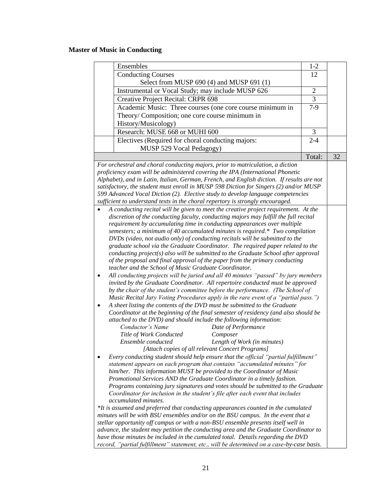# **Master of Music in Conducting**

| Ensembles                                                                                                                                                        | $1 - 2$        |    |
|------------------------------------------------------------------------------------------------------------------------------------------------------------------|----------------|----|
| <b>Conducting Courses</b>                                                                                                                                        | 12             |    |
| Select from MUSP 690 (4) and MUSP 691 (1)                                                                                                                        |                |    |
| Instrumental or Vocal Study; may include MUSP 626                                                                                                                | $\overline{2}$ |    |
| Creative Project Recital: CRPR 698                                                                                                                               | 3              |    |
| Academic Music: Three courses (one core course minimum in                                                                                                        | $7-9$          |    |
| Theory/Composition; one core course minimum in                                                                                                                   |                |    |
| History/Musicology)                                                                                                                                              |                |    |
| Research: MUSE 668 or MUHI 600                                                                                                                                   | 3              |    |
| Electives (Required for choral conducting majors:                                                                                                                | $2 - 4$        |    |
| MUSP 529 Vocal Pedagogy)                                                                                                                                         |                |    |
|                                                                                                                                                                  | Total:         | 32 |
|                                                                                                                                                                  |                |    |
| For orchestral and choral conducting majors, prior to matriculation, a diction<br>proficiency exam will be administered covering the IPA (International Phonetic |                |    |
| Alphabet), and in Latin, Italian, German, French, and English diction. If results are not                                                                        |                |    |
| satisfactory, the student must enroll in MUSP 598 Diction for Singers (2) and/or MUSP                                                                            |                |    |
| 599 Advanced Vocal Diction (2). Elective study to develop language competencies                                                                                  |                |    |
| sufficient to understand texts in the choral repertory is strongly encouraged.                                                                                   |                |    |
| A conducting recital will be given to meet the creative project requirement. At the                                                                              |                |    |
| discretion of the conducting faculty, conducting majors may fulfill the full recital                                                                             |                |    |
| requirement by accumulating time in conducting appearances over multiple                                                                                         |                |    |
| semesters; a minimum of 40 accumulated minutes is required.* Two compilation                                                                                     |                |    |
| DVDs (video, not audio only) of conducting recitals will be submitted to the                                                                                     |                |    |
| graduate school via the Graduate Coordinator. The required paper related to the                                                                                  |                |    |
| conducting project(s) also will be submitted to the Graduate School after approval                                                                               |                |    |
| of the proposal and final approval of the paper from the primary conducting                                                                                      |                |    |
| teacher and the School of Music Graduate Coordinator.                                                                                                            |                |    |
| All conducting projects will be juried and all 40 minutes "passed" by jury members                                                                               |                |    |
| invited by the Graduate Coordinator. All repertoire conducted must be approved                                                                                   |                |    |
| by the chair of the student's committee before the performance. (The School of                                                                                   |                |    |
| Music Recital Jury Voting Procedures apply in the rare event of a "partial pass.")                                                                               |                |    |
| A sheet listing the contents of the DVD must be submitted to the Graduate                                                                                        |                |    |
| Coordinator at the beginning of the final semester of residency (and also should be                                                                              |                |    |
| attached to the DVD) and should include the following information:<br>Conductor's Name<br>Date of Performance                                                    |                |    |
| Title of Work Conducted<br>Composer                                                                                                                              |                |    |
| Ensemble conducted<br>Length of Work (in minutes)                                                                                                                |                |    |
| [Attach copies of all relevant Concert Programs]                                                                                                                 |                |    |
| Every conducting student should help ensure that the official "partial fulfillment"                                                                              |                |    |
| statement appears on each program that contains "accumulated minutes" for                                                                                        |                |    |
| him/her. This information MUST be provided to the Coordinator of Music                                                                                           |                |    |
| Promotional Services AND the Graduate Coordinator in a timely fashion.                                                                                           |                |    |
| Programs containing jury signatures and votes should be submitted to the Graduate                                                                                |                |    |
| Coordinator for inclusion in the student's file after each event that includes                                                                                   |                |    |
| accumulated minutes.                                                                                                                                             |                |    |
| *It is assumed and preferred that conducting appearances counted in the cumulated                                                                                |                |    |
| minutes will be with BSU ensembles and/or on the BSU campus. In the event that a                                                                                 |                |    |
| stellar opportunity off campus or with a non-BSU ensemble presents itself well in                                                                                |                |    |
| advance, the student may petition the conducting area and the Graduate Coordinator to                                                                            |                |    |
| have those minutes be included in the cumulated total. Details regarding the DVD                                                                                 |                |    |
| record, "partial fulfillment" statement, etc., will be determined on a case-by-case basis.                                                                       |                |    |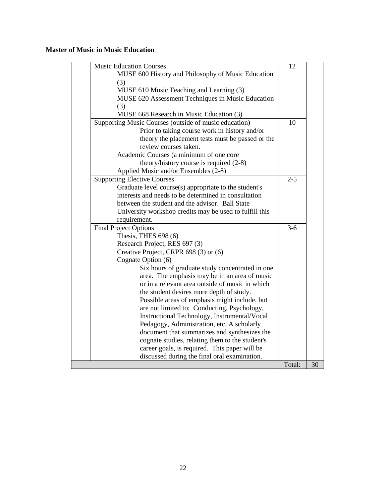# **Master of Music in Music Education**

 $\mathsf{L}$ 

| <b>Music Education Courses</b>                          | 12      |    |
|---------------------------------------------------------|---------|----|
| MUSE 600 History and Philosophy of Music Education      |         |    |
| (3)                                                     |         |    |
| MUSE 610 Music Teaching and Learning (3)                |         |    |
| MUSE 620 Assessment Techniques in Music Education       |         |    |
| (3)                                                     |         |    |
| MUSE 668 Research in Music Education (3)                |         |    |
| Supporting Music Courses (outside of music education)   | 10      |    |
| Prior to taking course work in history and/or           |         |    |
| theory the placement tests must be passed or the        |         |    |
| review courses taken.                                   |         |    |
| Academic Courses (a minimum of one core                 |         |    |
| theory/history course is required $(2-8)$               |         |    |
| Applied Music and/or Ensembles (2-8)                    |         |    |
| <b>Supporting Elective Courses</b>                      | $2 - 5$ |    |
| Graduate level course(s) appropriate to the student's   |         |    |
| interests and needs to be determined in consultation    |         |    |
| between the student and the advisor. Ball State         |         |    |
| University workshop credits may be used to fulfill this |         |    |
| requirement.                                            |         |    |
| <b>Final Project Options</b>                            | $3-6$   |    |
| Thesis, THES 698 (6)                                    |         |    |
| Research Project, RES 697 (3)                           |         |    |
| Creative Project, CRPR 698 (3) or (6)                   |         |    |
| Cognate Option (6)                                      |         |    |
| Six hours of graduate study concentrated in one         |         |    |
| area. The emphasis may be in an area of music           |         |    |
| or in a relevant area outside of music in which         |         |    |
| the student desires more depth of study.                |         |    |
| Possible areas of emphasis might include, but           |         |    |
| are not limited to: Conducting, Psychology,             |         |    |
| Instructional Technology, Instrumental/Vocal            |         |    |
| Pedagogy, Administration, etc. A scholarly              |         |    |
| document that summarizes and synthesizes the            |         |    |
| cognate studies, relating them to the student's         |         |    |
| career goals, is required. This paper will be           |         |    |
| discussed during the final oral examination.            |         |    |
|                                                         | Total:  | 30 |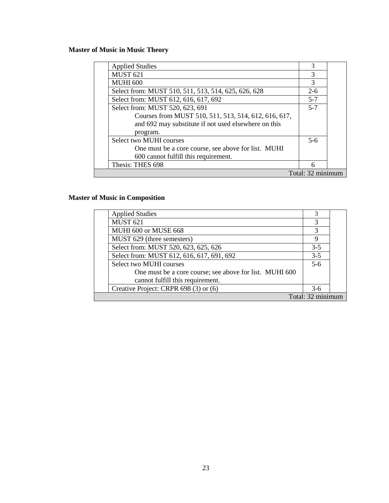# **Master of Music in Music Theory**

| <b>Applied Studies</b>                               | 3                 |  |
|------------------------------------------------------|-------------------|--|
| <b>MUST 621</b>                                      | 3                 |  |
| <b>MUHI 600</b>                                      | 3                 |  |
| Select from: MUST 510, 511, 513, 514, 625, 626, 628  | $2-6$             |  |
| Select from: MUST 612, 616, 617, 692                 | $5 - 7$           |  |
| Select from: MUST 520, 623, 691                      | $5 - 7$           |  |
| Courses from MUST 510, 511, 513, 514, 612, 616, 617, |                   |  |
| and 692 may substitute if not used elsewhere on this |                   |  |
| program.                                             |                   |  |
| Select two MUHI courses                              | $5-6$             |  |
| One must be a core course, see above for list. MUHI  |                   |  |
| 600 cannot fulfill this requirement.                 |                   |  |
| Thesis: THES 698                                     | 6                 |  |
|                                                      | Total: 32 minimum |  |

# **Master of Music in Composition**

| <b>Applied Studies</b>                                  |                  |  |
|---------------------------------------------------------|------------------|--|
| <b>MUST 621</b>                                         | 3                |  |
| MUHI 600 or MUSE 668                                    |                  |  |
| MUST 629 (three semesters)                              | Q                |  |
| Select from: MUST 520, 623, 625, 626                    | $3 - 5$          |  |
| Select from: MUST 612, 616, 617, 691, 692               | $3-5$            |  |
| Select two MUHI courses                                 | $5-6$            |  |
| One must be a core course; see above for list. MUHI 600 |                  |  |
| cannot fulfill this requirement.                        |                  |  |
| Creative Project: CRPR 698 (3) or (6)                   | $3-6$            |  |
|                                                         | Total: 32 minimi |  |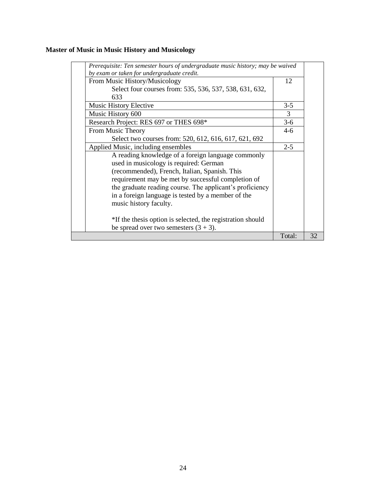# **Master of Music in Music History and Musicology**

| Prerequisite: Ten semester hours of undergraduate music history; may be waived<br>by exam or taken for undergraduate credit.<br>From Music History/Musicology<br>12 |    |
|---------------------------------------------------------------------------------------------------------------------------------------------------------------------|----|
|                                                                                                                                                                     |    |
|                                                                                                                                                                     |    |
|                                                                                                                                                                     |    |
| Select four courses from: 535, 536, 537, 538, 631, 632,                                                                                                             |    |
| 633                                                                                                                                                                 |    |
| $3-5$<br><b>Music History Elective</b>                                                                                                                              |    |
| 3<br>Music History 600                                                                                                                                              |    |
| Research Project: RES 697 or THES 698*<br>$3-6$                                                                                                                     |    |
| From Music Theory<br>$4-6$                                                                                                                                          |    |
| Select two courses from: 520, 612, 616, 617, 621, 692                                                                                                               |    |
| $2 - 5$<br>Applied Music, including ensembles                                                                                                                       |    |
| A reading knowledge of a foreign language commonly                                                                                                                  |    |
| used in musicology is required: German                                                                                                                              |    |
| (recommended), French, Italian, Spanish. This                                                                                                                       |    |
| requirement may be met by successful completion of                                                                                                                  |    |
| the graduate reading course. The applicant's proficiency                                                                                                            |    |
| in a foreign language is tested by a member of the                                                                                                                  |    |
| music history faculty.                                                                                                                                              |    |
|                                                                                                                                                                     |    |
| *If the thesis option is selected, the registration should                                                                                                          |    |
| be spread over two semesters $(3 + 3)$ .                                                                                                                            |    |
| Total:                                                                                                                                                              | 32 |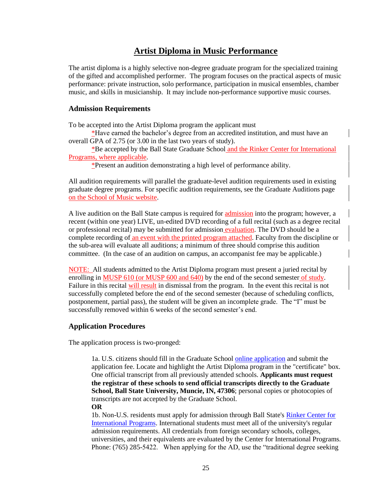# **Artist Diploma in Music Performance**

The artist diploma is a highly selective non-degree graduate program for the specialized training of the gifted and accomplished performer. The program focuses on the practical aspects of music performance: private instruction, solo performance, participation in musical ensembles, chamber music, and skills in musicianship. It may include non-performance supportive music courses.

### **Admission Requirements**

To be accepted into the Artist Diploma program the applicant must

\*Have earned the bachelor's degree from an accredited institution, and must have an overall GPA of 2.75 (or 3.00 in the last two years of study).

\*Be accepted by the Ball State Graduate School and the Rinker Center for International Programs, where applicable.

\*Present an audition demonstrating a high level of performance ability.

All audition requirements will parallel the graduate-level audition requirements used in existing graduate degree programs. For specific audition requirements, see the Graduate Auditions page on the School of Music website.

A live audition on the Ball State campus is required for admission into the program; however, a recent (within one year) LIVE, un-edited DVD recording of a full recital (such as a degree recital or professional recital) may be submitted for admission evaluation. The DVD should be a complete recording of an event with the printed program attached. Faculty from the discipline or the sub-area will evaluate all auditions; a minimum of three should comprise this audition committee. (In the case of an audition on campus, an accompanist fee may be applicable.)

NOTE: All students admitted to the Artist Diploma program must present a juried recital by enrolling in MUSP 610 (or MUSP 600 and 640) by the end of the second semester of study. Failure in this recital will result in dismissal from the program. In the event this recital is not successfully completed before the end of the second semester (because of scheduling conflicts, postponement, partial pass), the student will be given an incomplete grade. The "I" must be successfully removed within 6 weeks of the second semester's end.

### **Application Procedures**

The application process is two-pronged:

1a. U.S. citizens should fill in the Graduate School [online application](http://cms.bsu.edu/Academics/CollegesandDepartments/GradSchool/Admissions/ApplyNow.aspx) and submit the application fee. Locate and highlight the Artist Diploma program in the "certificate" box. One official transcript from all previously attended schools. **Applicants must request the registrar of these schools to send official transcripts directly to the Graduate School, Ball State University, Muncie, IN, 47306**; personal copies or photocopies of transcripts are not accepted by the Graduate School. **OR**

1b. Non-U.S. residents must apply for admission through Ball State's [Rinker Center for](http://www.bsu.edu/internationaladmit/)  [International Programs.](http://www.bsu.edu/internationaladmit/) International students must meet all of the university's regular admission requirements. All credentials from foreign secondary schools, colleges, universities, and their equivalents are evaluated by the Center for International Programs. Phone: (765) 285-5422. When applying for the AD, use the "traditional degree seeking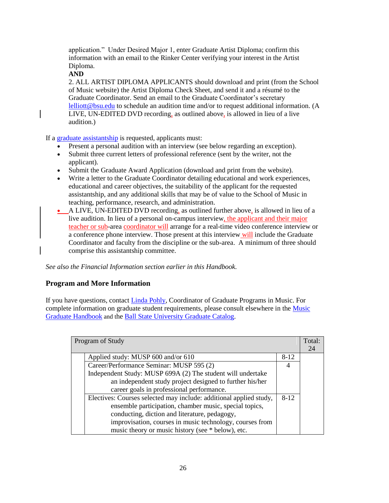application." Under Desired Major 1, enter Graduate Artist Diploma; confirm this information with an email to the Rinker Center verifying your interest in the Artist Diploma.

**AND**

2. ALL ARTIST DIPLOMA APPLICANTS should download and print (from the School of Music website) the Artist Diploma Check Sheet, and send it and a résumé to the Graduate Coordinator. Send an email to the Graduate Coordinator's secretary [lelliott@bsu.edu](mailto:lelliott@bsu.edu) to schedule an audition time and/or to request additional information. (A LIVE, UN-EDITED DVD recording, as outlined above, is allowed in lieu of a live audition.)

If a graduate [assistantship](http://cms.bsu.edu/Academics/CollegesandDepartments/Music/AcademicsAuditions/Masters/GradAssist.aspx) is requested, applicants must:

- Present a personal audition with an interview (see below regarding an exception).
- Submit three current letters of professional reference (sent by the writer, not the applicant).
- Submit the Graduate Award Application (download and print from the website).
- Write a letter to the Graduate Coordinator detailing educational and work experiences, educational and career objectives, the suitability of the applicant for the requested assistantship, and any additional skills that may be of value to the School of Music in teaching, performance, research, and administration.
- A LIVE, UN-EDITED DVD recording, as outlined further above, is allowed in lieu of a live audition. In lieu of a personal on-campus interview, the applicant and their major teacher or sub-area coordinator will arrange for a real-time video conference interview or a conference phone interview. Those present at this interview will include the Graduate Coordinator and faculty from the discipline or the sub-area. A minimum of three should comprise this assistantship committee.

*See also the Financial Information section earlier in this Handbook.*

### **Program and More Information**

If you have questions, contact [Linda Pohly,](mailto:lpohly@bsu.edu) Coordinator of Graduate Programs in Music. For complete information on graduate student requirements, please consult elsewhere in the [Music](http://cms.bsu.edu/Academics/CollegesandDepartments/Music/AcademicsAuditions/Masters/~/media/DepartmentalContent/MusicSchool/PDF/gradhandbook.ashx)  [Graduate Handbook](http://cms.bsu.edu/Academics/CollegesandDepartments/Music/AcademicsAuditions/Masters/~/media/DepartmentalContent/MusicSchool/PDF/gradhandbook.ashx) and the [Ball State University Graduate Catalog.](http://cms.bsu.edu/Academics/CollegesandDepartments/GradSchool/Academics/GraduateCatalog.aspx)

| Program of Study |                                                                    |        | Total: |
|------------------|--------------------------------------------------------------------|--------|--------|
|                  |                                                                    |        | 24     |
|                  | Applied study: MUSP 600 and/or 610                                 | $8-12$ |        |
|                  | Career/Performance Seminar: MUSP 595 (2)                           | 4      |        |
|                  | Independent Study: MUSP 699A (2) The student will undertake        |        |        |
|                  | an independent study project designed to further his/her           |        |        |
|                  | career goals in professional performance.                          |        |        |
|                  | Electives: Courses selected may include: additional applied study, | $8-12$ |        |
|                  | ensemble participation, chamber music, special topics,             |        |        |
|                  | conducting, diction and literature, pedagogy,                      |        |        |
|                  | improvisation, courses in music technology, courses from           |        |        |
|                  | music theory or music history (see * below), etc.                  |        |        |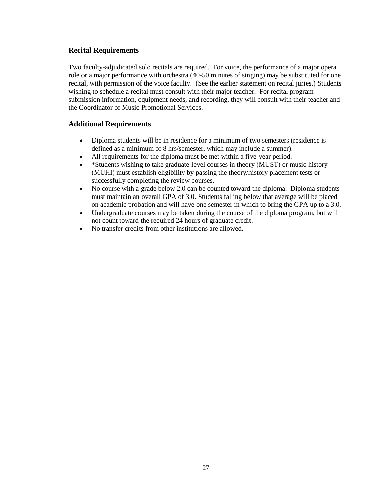### **Recital Requirements**

Two faculty-adjudicated solo recitals are required. For voice, the performance of a major opera role or a major performance with orchestra (40-50 minutes of singing) may be substituted for one recital, with permission of the voice faculty. (See the earlier statement on recital juries.) Students wishing to schedule a recital must consult with their major teacher. For recital program submission information, equipment needs, and recording, they will consult with their teacher and the Coordinator of Music Promotional Services.

### **Additional Requirements**

- Diploma students will be in residence for a minimum of two semesters (residence is defined as a minimum of 8 hrs/semester, which may include a summer).
- 
- All requirements for the diploma must be met within a five-year period.<br>• \*Students wishing to take graduate-level courses in theory (MUST) or m \*Students wishing to take graduate-level courses in theory (MUST) or music history (MUHI) must establish eligibility by passing the theory/history placement tests or successfully completing the review courses.
- No course with a grade below 2.0 can be counted toward the diploma. Diploma students must maintain an overall GPA of 3.0. Students falling below that average will be placed on academic probation and will have one semester in which to bring the GPA up to a 3.0.
- Undergraduate courses may be taken during the course of the diploma program, but will not count toward the required 24 hours of graduate credit.
- No transfer credits from other institutions are allowed.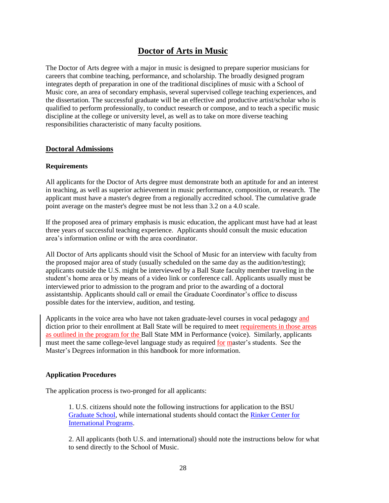# **Doctor of Arts in Music**

The Doctor of Arts degree with a major in music is designed to prepare superior musicians for careers that combine teaching, performance, and scholarship. The broadly designed program integrates depth of preparation in one of the traditional disciplines of music with a School of Music core, an area of secondary emphasis, several supervised college teaching experiences, and the dissertation. The successful graduate will be an effective and productive artist/scholar who is qualified to perform professionally, to conduct research or compose, and to teach a specific music discipline at the college or university level, as well as to take on more diverse teaching responsibilities characteristic of many faculty positions.

### **Doctoral Admissions**

#### **Requirements**

All applicants for the Doctor of Arts degree must demonstrate both an aptitude for and an interest in teaching, as well as superior achievement in music performance, composition, or research. The applicant must have a master's degree from a regionally accredited school. The cumulative grade point average on the master's degree must be not less than 3.2 on a 4.0 scale.

If the proposed area of primary emphasis is music education, the applicant must have had at least three years of successful teaching experience. Applicants should consult the music education area's information online or with the area coordinator.

All Doctor of Arts applicants should visit the School of Music for an interview with faculty from the proposed major area of study (usually scheduled on the same day as the audition/testing); applicants outside the U.S. might be interviewed by a Ball State faculty member traveling in the student's home area or by means of a video link or conference call. Applicants usually must be interviewed prior to admission to the program and prior to the awarding of a doctoral assistantship. Applicants should call or email the Graduate Coordinator's office to discuss possible dates for the interview, audition, and testing.

Applicants in the voice area who have not taken graduate-level courses in vocal pedagogy and diction prior to their enrollment at Ball State will be required to meet requirements in those areas as outlined in the program for the Ball State MM in Performance (voice). Similarly, applicants must meet the same college-level language study as required <u>for master</u>'s students. See the Master's Degrees information in this handbook for more information.

#### **Application Procedures**

The application process is two-pronged for all applicants:

1. U.S. citizens should note the following instructions for application to the BSU [Graduate School,](http://cms.bsu.edu/Academics/CollegesandDepartments/GradSchool/Admissions.aspx) while international students should contact the [Rinker Center for](http://cms.bsu.edu/AdmissionsLanding/International.aspx)  [International Programs.](http://cms.bsu.edu/AdmissionsLanding/International.aspx)

2. All applicants (both U.S. and international) should note the instructions below for what to send directly to the School of Music.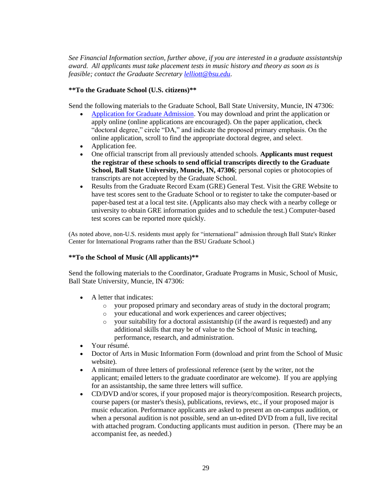*See Financial Information section, further above, if you are interested in a graduate assistantship award. All applicants must take placement tests in music history and theory as soon as is feasible; contact the Graduate Secretary [lelliott@bsu.edu](mailto:lelliott@bsu.edu)*.

#### **\*\*To the Graduate School (U.S. citizens)\*\***

Send the following materials to the Graduate School, Ball State University, Muncie, IN 47306:

- [Application for Graduate Admission.](http://cms.bsu.edu/Academics/CollegesandDepartments/GradSchool/ApplyNow.aspx) You may download and print the application or apply online (online applications are encouraged). On the paper application, check "doctoral degree," circle "DA," and indicate the proposed primary emphasis. On the online application, scroll to find the appropriate doctoral degree, and select.
- Application fee.
- One official transcript from all previously attended schools. **Applicants must request the registrar of these schools to send official transcripts directly to the Graduate School, Ball State University, Muncie, IN, 47306**; personal copies or photocopies of transcripts are not accepted by the Graduate School.
- Results from the Graduate Record Exam (GRE) General Test. Visit the GRE Website to have test scores sent to the Graduate School or to register to take the computer-based or paper-based test at a local test site. (Applicants also may check with a nearby college or university to obtain GRE information guides and to schedule the test.) Computer-based test scores can be reported more quickly.

(As noted above, non-U.S. residents must apply for "international" admission through Ball State's Rinker Center for International Programs rather than the BSU Graduate School.)

### **\*\*To the School of Music (All applicants)\*\***

Send the following materials to the Coordinator, Graduate Programs in Music, School of Music, Ball State University, Muncie, IN 47306:

- A letter that indicates:
	- o your proposed primary and secondary areas of study in the doctoral program;
	- your educational and work experiences and career objectives;
	- your suitability for a doctoral assistantship (if the award is requested) and any additional skills that may be of value to the School of Music in teaching, performance, research, and administration.
- Your résumé.
- Doctor of Arts in Music Information Form (download and print from the School of Music website).
- A minimum of three letters of professional reference (sent by the writer, not the applicant; emailed letters to the graduate coordinator are welcome). If you are applying for an assistantship, the same three letters will suffice.
- CD/DVD and/or scores, if your proposed major is theory/composition. Research projects, course papers (or master's thesis), publications, reviews, etc., if your proposed major is music education. Performance applicants are asked to present an on-campus audition, or when a personal audition is not possible, send an un-edited DVD from a full, live recital with attached program. Conducting applicants must audition in person. (There may be an accompanist fee, as needed.)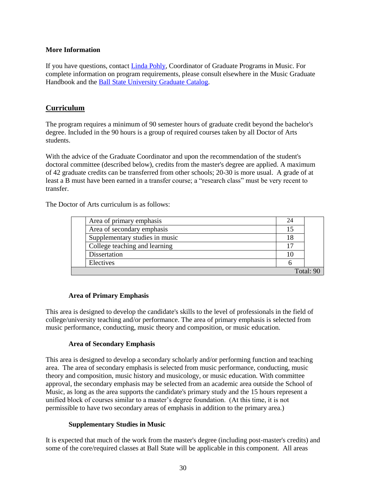#### **More Information**

If you have questions, contact [Linda Pohly,](mailto:lpohly@bsu.edu) Coordinator of Graduate Programs in Music. For complete information on program requirements, please consult elsewhere in the Music Graduate Handbook and the [Ball State University Graduate Catalog.](http://cms.bsu.edu/Academics/CollegesandDepartments/GradSchool/Academics/GraduateCatalog.aspx)

### **Curriculum**

The program requires a minimum of 90 semester hours of graduate credit beyond the bachelor's degree. Included in the 90 hours is a group of required courses taken by all Doctor of Arts students.

With the advice of the Graduate Coordinator and upon the recommendation of the student's doctoral committee (described below), credits from the master's degree are applied. A maximum of 42 graduate credits can be transferred from other schools; 20-30 is more usual. A grade of at least a B must have been earned in a transfer course; a "research class" must be very recent to transfer.

The Doctor of Arts curriculum is as follows:

|           | Area of primary emphasis       |  |  |
|-----------|--------------------------------|--|--|
|           | Area of secondary emphasis     |  |  |
|           | Supplementary studies in music |  |  |
|           | College teaching and learning  |  |  |
|           | Dissertation                   |  |  |
|           | Electives                      |  |  |
| Total: 90 |                                |  |  |

### **Area of Primary Emphasis**

This area is designed to develop the candidate's skills to the level of professionals in the field of college/university teaching and/or performance. The area of primary emphasis is selected from music performance, conducting, music theory and composition, or music education.

### **Area of Secondary Emphasis**

This area is designed to develop a secondary scholarly and/or performing function and teaching area. The area of secondary emphasis is selected from music performance, conducting, music theory and composition, music history and musicology, or music education. With committee approval, the secondary emphasis may be selected from an academic area outside the School of Music, as long as the area supports the candidate's primary study and the 15 hours represent a unified block of courses similar to a master's degree foundation. (At this time, it is not permissible to have two secondary areas of emphasis in addition to the primary area.)

### **Supplementary Studies in Music**

It is expected that much of the work from the master's degree (including post-master's credits) and some of the core/required classes at Ball State will be applicable in this component. All areas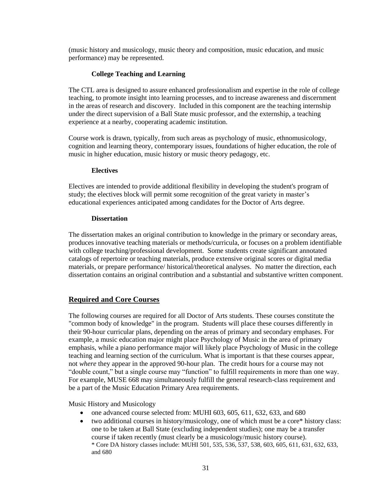(music history and musicology, music theory and composition, music education, and music performance) may be represented.

### **College Teaching and Learning**

The CTL area is designed to assure enhanced professionalism and expertise in the role of college teaching, to promote insight into learning processes, and to increase awareness and discernment in the areas of research and discovery. Included in this component are the teaching internship under the direct supervision of a Ball State music professor, and the externship, a teaching experience at a nearby, cooperating academic institution.

Course work is drawn, typically, from such areas as psychology of music, ethnomusicology, cognition and learning theory, contemporary issues, foundations of higher education, the role of music in higher education, music history or music theory pedagogy, etc.

### **Electives**

Electives are intended to provide additional flexibility in developing the student's program of study; the electives block will permit some recognition of the great variety in master's educational experiences anticipated among candidates for the Doctor of Arts degree.

### **Dissertation**

The dissertation makes an original contribution to knowledge in the primary or secondary areas, produces innovative teaching materials or methods/curricula, or focuses on a problem identifiable with college teaching/professional development. Some students create significant annotated catalogs of repertoire or teaching materials, produce extensive original scores or digital media materials, or prepare performance/ historical/theoretical analyses. No matter the direction, each dissertation contains an original contribution and a substantial and substantive written component.

### **Required and Core Courses**

The following courses are required for all Doctor of Arts students. These courses constitute the "common body of knowledge" in the program. Students will place these courses differently in their 90-hour curricular plans, depending on the areas of primary and secondary emphases. For example, a music education major might place Psychology of Music in the area of primary emphasis, while a piano performance major will likely place Psychology of Music in the college teaching and learning section of the curriculum. What is important is that these courses appear, not *where* they appear in the approved 90-hour plan. The credit hours for a course may not "double count," but a single course may "function" to fulfill requirements in more than one way. For example, MUSE 668 may simultaneously fulfill the general research-class requirement and be a part of the Music Education Primary Area requirements.

Music History and Musicology

- one advanced course selected from: MUHI 603, 605, 611, 632, 633, and 680
- two additional courses in history/musicology, one of which must be a core\* history class: one to be taken at Ball State (excluding independent studies); one may be a transfer course if taken recently (must clearly be a musicology/music history course). \* Core DA history classes include: MUHI 501, 535, 536, 537, 538, 603, 605, 611, 631, 632, 633, and 680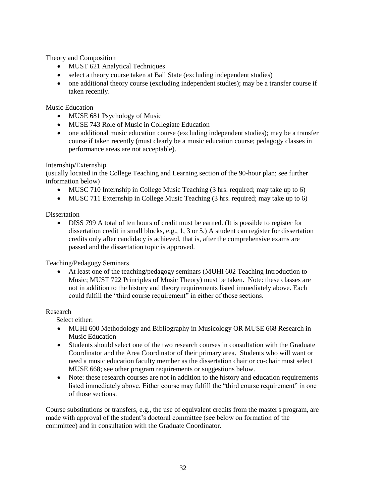Theory and Composition

- MUST 621 Analytical Techniques
- select a theory course taken at Ball State (excluding independent studies)
- one additional theory course (excluding independent studies); may be a transfer course if taken recently.

Music Education

- MUSE 681 Psychology of Music
- MUSE 743 Role of Music in Collegiate Education
- one additional music education course (excluding independent studies); may be a transfer course if taken recently (must clearly be a music education course; pedagogy classes in performance areas are not acceptable).

### Internship/Externship

(usually located in the College Teaching and Learning section of the 90-hour plan; see further information below)

- MUSC 710 Internship in College Music Teaching (3 hrs. required; may take up to 6)
- MUSC 711 Externship in College Music Teaching (3 hrs. required; may take up to 6)

### **Dissertation**

 DISS 799 A total of ten hours of credit must be earned. (It is possible to register for dissertation credit in small blocks, e.g., 1, 3 or 5.) A student can register for dissertation credits only after candidacy is achieved, that is, after the comprehensive exams are passed and the dissertation topic is approved.

Teaching/Pedagogy Seminars

 At least one of the teaching/pedagogy seminars (MUHI 602 Teaching Introduction to Music; MUST 722 Principles of Music Theory) must be taken. Note: these classes are not in addition to the history and theory requirements listed immediately above. Each could fulfill the "third course requirement" in either of those sections.

#### Research

Select either:

- MUHI 600 Methodology and Bibliography in Musicology OR MUSE 668 Research in Music Education
- Students should select one of the two research courses in consultation with the Graduate Coordinator and the Area Coordinator of their primary area. Students who will want or need a music education faculty member as the dissertation chair or co-chair must select MUSE 668; see other program requirements or suggestions below.
- Note: these research courses are not in addition to the history and education requirements listed immediately above. Either course may fulfill the "third course requirement" in one of those sections.

Course substitutions or transfers, e.g., the use of equivalent credits from the master's program, are made with approval of the student's doctoral committee (see below on formation of the committee) and in consultation with the Graduate Coordinator.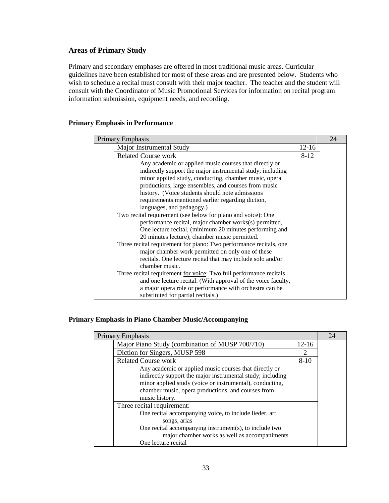### **Areas of Primary Study**

Primary and secondary emphases are offered in most traditional music areas. Curricular guidelines have been established for most of these areas and are presented below. Students who wish to schedule a recital must consult with their major teacher. The teacher and the student will consult with the Coordinator of Music Promotional Services for information on recital program information submission, equipment needs, and recording.

### **Primary Emphasis in Performance**

| Primary Emphasis                                                           |          | 24 |
|----------------------------------------------------------------------------|----------|----|
| Major Instrumental Study                                                   | $12-16$  |    |
| <b>Related Course work</b>                                                 | $8 - 12$ |    |
| Any academic or applied music courses that directly or                     |          |    |
| indirectly support the major instrumental study; including                 |          |    |
| minor applied study, conducting, chamber music, opera                      |          |    |
| productions, large ensembles, and courses from music                       |          |    |
| history. (Voice students should note admissions                            |          |    |
| requirements mentioned earlier regarding diction,                          |          |    |
| languages, and pedagogy.)                                                  |          |    |
| Two recital requirement (see below for piano and voice): One               |          |    |
| performance recital, major chamber works(s) permitted,                     |          |    |
| One lecture recital, (minimum 20 minutes performing and                    |          |    |
| 20 minutes lecture); chamber music permitted.                              |          |    |
| Three recital requirement <u>for piano</u> : Two performance recitals, one |          |    |
| major chamber work permitted on only one of these                          |          |    |
| recitals. One lecture recital that may include solo and/or                 |          |    |
| chamber music.                                                             |          |    |
| Three recital requirement <u>for voice</u> : Two full performance recitals |          |    |
| and one lecture recital. (With approval of the voice faculty,              |          |    |
| a major opera role or performance with orchestra can be                    |          |    |
| substituted for partial recitals.)                                         |          |    |

### **Primary Emphasis in Piano Chamber Music/Accompanying**

| <b>Primary Emphasis</b>                                    |         |  |
|------------------------------------------------------------|---------|--|
| Major Piano Study (combination of MUSP 700/710)            | $12-16$ |  |
| Diction for Singers, MUSP 598                              | 2       |  |
| <b>Related Course work</b>                                 | $8-10$  |  |
| Any academic or applied music courses that directly or     |         |  |
| indirectly support the major instrumental study; including |         |  |
| minor applied study (voice or instrumental), conducting,   |         |  |
| chamber music, opera productions, and courses from         |         |  |
| music history.                                             |         |  |
| Three recital requirement:                                 |         |  |
| One recital accompanying voice, to include lieder, art     |         |  |
| songs, arias                                               |         |  |
| One recital accompanying instrument(s), to include two     |         |  |
| major chamber works as well as accompaniments              |         |  |
| One lecture recital                                        |         |  |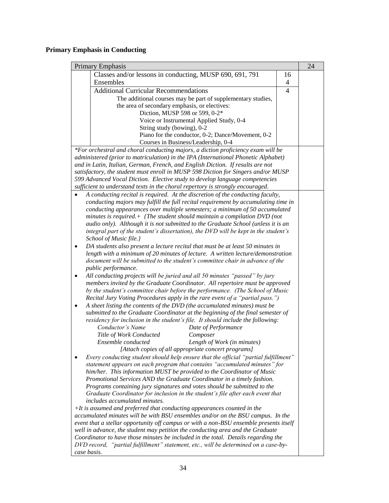# **Primary Emphasis in Conducting**

| <b>Primary Emphasis</b>                                                                                                                                          |                |  |
|------------------------------------------------------------------------------------------------------------------------------------------------------------------|----------------|--|
| Classes and/or lessons in conducting, MUSP 690, 691, 791                                                                                                         | 16             |  |
| Ensembles                                                                                                                                                        | $\overline{4}$ |  |
| <b>Additional Curricular Recommendations</b>                                                                                                                     | $\overline{4}$ |  |
| The additional courses may be part of supplementary studies,                                                                                                     |                |  |
| the area of secondary emphasis, or electives:                                                                                                                    |                |  |
| Diction, MUSP 598 or 599, 0-2*                                                                                                                                   |                |  |
| Voice or Instrumental Applied Study, 0-4                                                                                                                         |                |  |
| String study (bowing), 0-2                                                                                                                                       |                |  |
| Piano for the conductor, 0-2; Dance/Movement, 0-2                                                                                                                |                |  |
| Courses in Business/Leadership, 0-4                                                                                                                              |                |  |
| *For orchestral and choral conducting majors, a diction proficiency exam will be                                                                                 |                |  |
| administered (prior to matriculation) in the IPA (International Phonetic Alphabet)                                                                               |                |  |
| and in Latin, Italian, German, French, and English Diction. If results are not                                                                                   |                |  |
| satisfactory, the student must enroll in MUSP 598 Diction for Singers and/or MUSP<br>599 Advanced Vocal Diction. Elective study to develop language competencies |                |  |
| sufficient to understand texts in the choral repertory is strongly encouraged.                                                                                   |                |  |
| A conducting recital is required. At the discretion of the conducting faculty,                                                                                   |                |  |
| conducting majors may fulfill the full recital requirement by accumulating time in                                                                               |                |  |
| conducting appearances over multiple semesters; a minimum of 50 accumulated                                                                                      |                |  |
| minutes is required. $+$ {The student should maintain a compilation DVD (not                                                                                     |                |  |
| audio only). Although it is not submitted to the Graduate School (unless it is an                                                                                |                |  |
| integral part of the student's dissertation), the DVD will be kept in the student's                                                                              |                |  |
| School of Music file.}                                                                                                                                           |                |  |
| DA students also present a lecture recital that must be at least 50 minutes in<br>٠                                                                              |                |  |
| length with a minimum of 20 minutes of lecture. A written lecture/demonstration                                                                                  |                |  |
| document will be submitted to the student's committee chair in advance of the                                                                                    |                |  |
| public performance.                                                                                                                                              |                |  |
| All conducting projects will be juried and all 50 minutes "passed" by jury<br>٠                                                                                  |                |  |
| members invited by the Graduate Coordinator. All repertoire must be approved                                                                                     |                |  |
| by the student's committee chair before the performance. (The School of Music                                                                                    |                |  |
| Recital Jury Voting Procedures apply in the rare event of a "partial pass.")                                                                                     |                |  |
| A sheet listing the contents of the DVD (the accumulated minutes) must be<br>٠                                                                                   |                |  |
| submitted to the Graduate Coordinator at the beginning of the final semester of                                                                                  |                |  |
| residency for inclusion in the student's file. It should include the following:                                                                                  |                |  |
| Conductor's Name<br>Date of Performance                                                                                                                          |                |  |
| Title of Work Conducted<br>Composer                                                                                                                              |                |  |
| Ensemble conducted<br>Length of Work (in minutes)                                                                                                                |                |  |
| [Attach copies of all appropriate concert programs]                                                                                                              |                |  |
| Every conducting student should help ensure that the official "partial fulfillment"                                                                              |                |  |
| statement appears on each program that contains "accumulated minutes" for<br>him/her. This information MUST be provided to the Coordinator of Music              |                |  |
| Promotional Services AND the Graduate Coordinator in a timely fashion.                                                                                           |                |  |
| Programs containing jury signatures and votes should be submitted to the                                                                                         |                |  |
| Graduate Coordinator for inclusion in the student's file after each event that                                                                                   |                |  |
| <i>includes accumulated minutes.</i>                                                                                                                             |                |  |
| $+It$ is assumed and preferred that conducting appearances counted in the                                                                                        |                |  |
| accumulated minutes will be with BSU ensembles and/or on the BSU campus. In the                                                                                  |                |  |
| event that a stellar opportunity off campus or with a non-BSU ensemble presents itself                                                                           |                |  |
| well in advance, the student may petition the conducting area and the Graduate                                                                                   |                |  |
| Coordinator to have those minutes be included in the total. Details regarding the                                                                                |                |  |
| DVD record, "partial fulfillment" statement, etc., will be determined on a case-by-                                                                              |                |  |
| case basis.                                                                                                                                                      |                |  |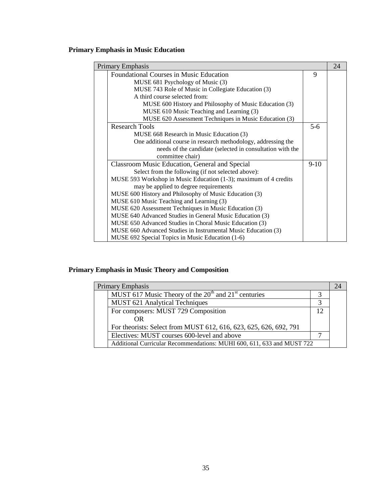# **Primary Emphasis in Music Education**

| Primary Emphasis                                                 |        | 24 |
|------------------------------------------------------------------|--------|----|
| <b>Foundational Courses in Music Education</b>                   | 9      |    |
| MUSE 681 Psychology of Music (3)                                 |        |    |
| MUSE 743 Role of Music in Collegiate Education (3)               |        |    |
| A third course selected from:                                    |        |    |
| MUSE 600 History and Philosophy of Music Education (3)           |        |    |
| MUSE 610 Music Teaching and Learning (3)                         |        |    |
| MUSE 620 Assessment Techniques in Music Education (3)            |        |    |
| <b>Research Tools</b>                                            | $5-6$  |    |
| MUSE 668 Research in Music Education (3)                         |        |    |
| One additional course in research methodology, addressing the    |        |    |
| needs of the candidate (selected in consultation with the        |        |    |
| committee chair)                                                 |        |    |
| Classroom Music Education, General and Special                   | $9-10$ |    |
| Select from the following (if not selected above):               |        |    |
| MUSE 593 Workshop in Music Education (1-3); maximum of 4 credits |        |    |
| may be applied to degree requirements                            |        |    |
| MUSE 600 History and Philosophy of Music Education (3)           |        |    |
| MUSE 610 Music Teaching and Learning (3)                         |        |    |
| MUSE 620 Assessment Techniques in Music Education (3)            |        |    |
| MUSE 640 Advanced Studies in General Music Education (3)         |        |    |
| MUSE 650 Advanced Studies in Choral Music Education (3)          |        |    |
| MUSE 660 Advanced Studies in Instrumental Music Education (3)    |        |    |
| MUSE 692 Special Topics in Music Education (1-6)                 |        |    |

# **Primary Emphasis in Music Theory and Composition**

|  | Primary Emphasis                                                       |     | 24 |
|--|------------------------------------------------------------------------|-----|----|
|  | MUST 617 Music Theory of the $20th$ and $21st$ centuries               |     |    |
|  | MUST 621 Analytical Techniques                                         |     |    |
|  | For composers: MUST 729 Composition                                    | 12. |    |
|  | OR                                                                     |     |    |
|  | For theorists: Select from MUST 612, 616, 623, 625, 626, 692, 791      |     |    |
|  | Electives: MUST courses 600-level and above                            |     |    |
|  | Additional Curricular Recommendations: MUHI 600, 611, 633 and MUST 722 |     |    |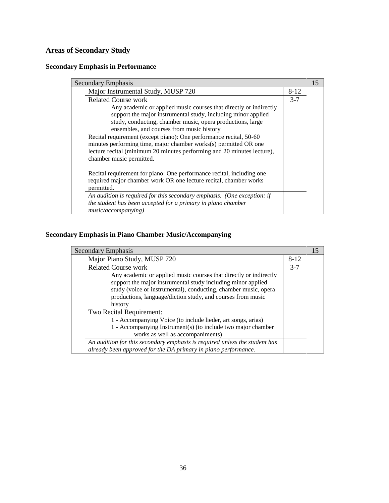# **Areas of Secondary Study**

# **Secondary Emphasis in Performance**

| <b>Secondary Emphasis</b>                                               |         | 15 |
|-------------------------------------------------------------------------|---------|----|
| Major Instrumental Study, MUSP 720                                      | $8-12$  |    |
| <b>Related Course work</b>                                              | $3 - 7$ |    |
| Any academic or applied music courses that directly or indirectly       |         |    |
| support the major instrumental study, including minor applied           |         |    |
| study, conducting, chamber music, opera productions, large              |         |    |
| ensembles, and courses from music history                               |         |    |
| Recital requirement (except piano): One performance recital, 50-60      |         |    |
| minutes performing time, major chamber works(s) permitted OR one        |         |    |
| lecture recital (minimum 20 minutes performing and 20 minutes lecture), |         |    |
| chamber music permitted.                                                |         |    |
|                                                                         |         |    |
| Recital requirement for piano: One performance recital, including one   |         |    |
| required major chamber work OR one lecture recital, chamber works       |         |    |
| permitted.                                                              |         |    |
| An audition is required for this secondary emphasis. (One exception: if |         |    |
| the student has been accepted for a primary in piano chamber            |         |    |
| music/accompanying)                                                     |         |    |

# **Secondary Emphasis in Piano Chamber Music/Accompanying**

| <b>Secondary Emphasis</b> |                                                                                                                                                                                                                                                                                |         | 15 |
|---------------------------|--------------------------------------------------------------------------------------------------------------------------------------------------------------------------------------------------------------------------------------------------------------------------------|---------|----|
|                           | Major Piano Study, MUSP 720                                                                                                                                                                                                                                                    | $8-12$  |    |
|                           | <b>Related Course work</b>                                                                                                                                                                                                                                                     | $3 - 7$ |    |
|                           | Any academic or applied music courses that directly or indirectly<br>support the major instrumental study including minor applied<br>study (voice or instrumental), conducting, chamber music, opera<br>productions, language/diction study, and courses from music<br>history |         |    |
|                           | Two Recital Requirement:<br>1 - Accompanying Voice (to include lieder, art songs, arias)<br>1 - Accompanying Instrument(s) (to include two major chamber<br>works as well as accompaniments)                                                                                   |         |    |
|                           | An audition for this secondary emphasis is required unless the student has<br>already been approved for the DA primary in piano performance.                                                                                                                                   |         |    |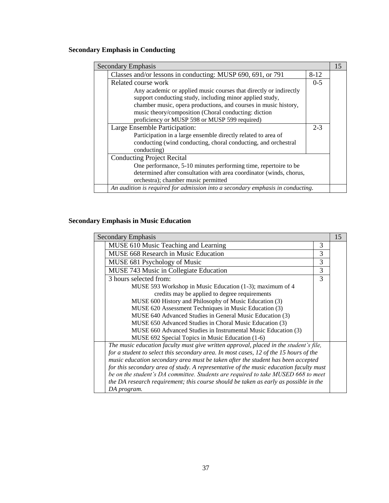# **Secondary Emphasis in Conducting**

| Secondary Emphasis |                                                                                |          | 15 |
|--------------------|--------------------------------------------------------------------------------|----------|----|
|                    | Classes and/or lessons in conducting: MUSP 690, 691, or 791                    | $8 - 12$ |    |
|                    | Related course work                                                            | $0 - 5$  |    |
|                    | Any academic or applied music courses that directly or indirectly              |          |    |
|                    | support conducting study, including minor applied study,                       |          |    |
|                    | chamber music, opera productions, and courses in music history,                |          |    |
|                    | music theory/composition (Choral conducting: diction                           |          |    |
|                    | proficiency or MUSP 598 or MUSP 599 required)                                  |          |    |
|                    | Large Ensemble Participation:                                                  | $2 - 3$  |    |
|                    | Participation in a large ensemble directly related to area of                  |          |    |
|                    | conducting (wind conducting, choral conducting, and orchestral                 |          |    |
|                    | conducting)                                                                    |          |    |
|                    | <b>Conducting Project Recital</b>                                              |          |    |
|                    | One performance, 5-10 minutes performing time, repertoire to be                |          |    |
|                    | determined after consultation with area coordinator (winds, chorus,            |          |    |
|                    | orchestra); chamber music permitted                                            |          |    |
|                    | An audition is required for admission into a secondary emphasis in conducting. |          |    |

# **Secondary Emphasis in Music Education**

| <b>Secondary Emphasis</b>                                                              |   | 15 |
|----------------------------------------------------------------------------------------|---|----|
| MUSE 610 Music Teaching and Learning                                                   | 3 |    |
| <b>MUSE 668 Research in Music Education</b>                                            | 3 |    |
| MUSE 681 Psychology of Music                                                           | 3 |    |
| MUSE 743 Music in Collegiate Education                                                 | 3 |    |
| 3 hours selected from:                                                                 | 3 |    |
| MUSE 593 Workshop in Music Education (1-3); maximum of 4                               |   |    |
| credits may be applied to degree requirements                                          |   |    |
| MUSE 600 History and Philosophy of Music Education (3)                                 |   |    |
| MUSE 620 Assessment Techniques in Music Education (3)                                  |   |    |
| MUSE 640 Advanced Studies in General Music Education (3)                               |   |    |
| MUSE 650 Advanced Studies in Choral Music Education (3)                                |   |    |
| MUSE 660 Advanced Studies in Instrumental Music Education (3)                          |   |    |
| MUSE 692 Special Topics in Music Education (1-6)                                       |   |    |
| The music education faculty must give written approval, placed in the student's file,  |   |    |
| for a student to select this secondary area. In most cases, 12 of the 15 hours of the  |   |    |
| music education secondary area must be taken after the student has been accepted       |   |    |
| for this secondary area of study. A representative of the music education faculty must |   |    |
| be on the student's DA committee. Students are required to take MUSED 668 to meet      |   |    |
| the DA research requirement; this course should be taken as early as possible in the   |   |    |
| DA program.                                                                            |   |    |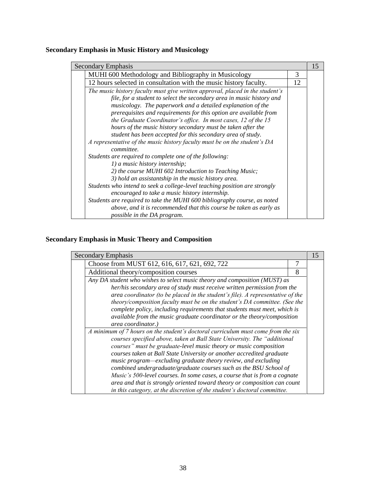# **Secondary Emphasis in Music History and Musicology**

| <b>Secondary Emphasis</b>                                                               |    | 15 |
|-----------------------------------------------------------------------------------------|----|----|
| MUHI 600 Methodology and Bibliography in Musicology                                     | 3  |    |
| 12 hours selected in consultation with the music history faculty.                       | 12 |    |
| The music history faculty must give written approval, placed in the student's           |    |    |
| file, for a student to select the secondary area in music history and                   |    |    |
| musicology. The paperwork and a detailed explanation of the                             |    |    |
| prerequisites and requirements for this option are available from                       |    |    |
| the Graduate Coordinator's office. In most cases, 12 of the 15                          |    |    |
| hours of the music history secondary must be taken after the                            |    |    |
| student has been accepted for this secondary area of study.                             |    |    |
| A representative of the music history faculty must be on the student's DA<br>committee. |    |    |
| Students are required to complete one of the following:                                 |    |    |
| 1) a music history internship;                                                          |    |    |
| 2) the course MUHI 602 Introduction to Teaching Music;                                  |    |    |
| 3) hold an assistantship in the music history area.                                     |    |    |
| Students who intend to seek a college-level teaching position are strongly              |    |    |
| encouraged to take a music history internship.                                          |    |    |
| Students are required to take the MUHI 600 bibliography course, as noted                |    |    |
| above, and it is recommended that this course be taken as early as                      |    |    |
| possible in the DA program.                                                             |    |    |

# **Secondary Emphasis in Music Theory and Composition**

| Secondary Emphasis                                                                                                                                                                                                                 |   | 15 |
|------------------------------------------------------------------------------------------------------------------------------------------------------------------------------------------------------------------------------------|---|----|
| Choose from MUST 612, 616, 617, 621, 692, 722                                                                                                                                                                                      |   |    |
| Additional theory/composition courses                                                                                                                                                                                              | 8 |    |
| Any DA student who wishes to select music theory and composition (MUST) as                                                                                                                                                         |   |    |
| her/his secondary area of study must receive written permission from the<br>area coordinator (to be placed in the student's file). A representative of the                                                                         |   |    |
| theory/composition faculty must be on the student's DA committee. (See the<br>complete policy, including requirements that students must meet, which is                                                                            |   |    |
| available from the music graduate coordinator or the theory/composition<br>area coordinator.)                                                                                                                                      |   |    |
| A minimum of 7 hours on the student's doctoral curriculum must come from the six<br>courses specified above, taken at Ball State University. The "additional<br>courses" must be graduate-level music theory or music composition  |   |    |
| courses taken at Ball State University or another accredited graduate<br>music program—excluding graduate theory review, and excluding<br>combined undergraduate/graduate courses such as the BSU School of                        |   |    |
| Music's 500-level courses. In some cases, a course that is from a cognate<br>area and that is strongly oriented toward theory or composition can count<br>in this category, at the discretion of the student's doctoral committee. |   |    |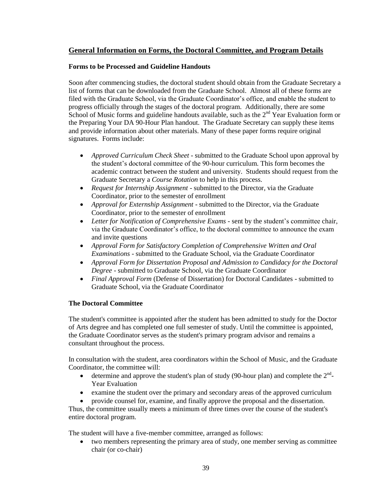### **General Information on Forms, the Doctoral Committee, and Program Details**

### **Forms to be Processed and Guideline Handouts**

Soon after commencing studies, the doctoral student should obtain from the Graduate Secretary a list of forms that can be downloaded from the Graduate School. Almost all of these forms are filed with the Graduate School, via the Graduate Coordinator's office, and enable the student to progress officially through the stages of the doctoral program. Additionally, there are some School of Music forms and guideline handouts available, such as the  $2<sup>nd</sup>$  Year Evaluation form or the Preparing Your DA 90-Hour Plan handout. The Graduate Secretary can supply these items and provide information about other materials. Many of these paper forms require original signatures. Forms include:

- *Approved Curriculum Check Sheet* submitted to the Graduate School upon approval by the student's doctoral committee of the 90-hour curriculum. This form becomes the academic contract between the student and university. Students should request from the Graduate Secretary a *Course Rotation* to help in this process.
- *Request for Internship Assignment* submitted to the Director, via the Graduate Coordinator, prior to the semester of enrollment
- *Approval for Externship Assignment* submitted to the Director, via the Graduate Coordinator, prior to the semester of enrollment
- *Letter for Notification of Comprehensive Exams* sent by the student's committee chair, via the Graduate Coordinator's office, to the doctoral committee to announce the exam and invite questions
- *Approval Form for Satisfactory Completion of Comprehensive Written and Oral Examinations* - submitted to the Graduate School, via the Graduate Coordinator
- *Approval Form for Dissertation Proposal and Admission to Candidacy for the Doctoral Degree* - submitted to Graduate School, via the Graduate Coordinator
- *Final Approval Form* (Defense of Dissertation) for Doctoral Candidates submitted to Graduate School, via the Graduate Coordinator

### **The Doctoral Committee**

The student's committee is appointed after the student has been admitted to study for the Doctor of Arts degree and has completed one full semester of study. Until the committee is appointed, the Graduate Coordinator serves as the student's primary program advisor and remains a consultant throughout the process.

In consultation with the student, area coordinators within the School of Music, and the Graduate Coordinator, the committee will:

- determine and approve the student's plan of study (90-hour plan) and complete the  $2<sup>nd</sup>$ -Year Evaluation
- examine the student over the primary and secondary areas of the approved curriculum
- provide counsel for, examine, and finally approve the proposal and the dissertation.

Thus, the committee usually meets a minimum of three times over the course of the student's entire doctoral program.

The student will have a five-member committee, arranged as follows:

 two members representing the primary area of study, one member serving as committee chair (or co-chair)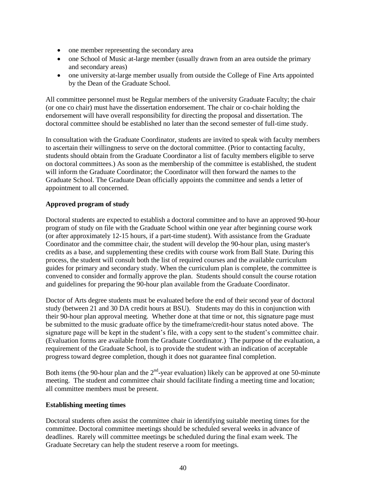- one member representing the secondary area
- one School of Music at-large member (usually drawn from an area outside the primary and secondary areas)
- one university at-large member usually from outside the College of Fine Arts appointed by the Dean of the Graduate School.

All committee personnel must be Regular members of the university Graduate Faculty; the chair (or one co chair) must have the dissertation endorsement. The chair or co-chair holding the endorsement will have overall responsibility for directing the proposal and dissertation. The doctoral committee should be established no later than the second semester of full-time study.

In consultation with the Graduate Coordinator, students are invited to speak with faculty members to ascertain their willingness to serve on the doctoral committee. (Prior to contacting faculty, students should obtain from the Graduate Coordinator a list of faculty members eligible to serve on doctoral committees.) As soon as the membership of the committee is established, the student will inform the Graduate Coordinator; the Coordinator will then forward the names to the Graduate School. The Graduate Dean officially appoints the committee and sends a letter of appointment to all concerned.

### **Approved program of study**

Doctoral students are expected to establish a doctoral committee and to have an approved 90-hour program of study on file with the Graduate School within one year after beginning course work (or after approximately 12-15 hours, if a part-time student). With assistance from the Graduate Coordinator and the committee chair, the student will develop the 90-hour plan, using master's credits as a base, and supplementing these credits with course work from Ball State. During this process, the student will consult both the list of required courses and the available curriculum guides for primary and secondary study. When the curriculum plan is complete, the committee is convened to consider and formally approve the plan. Students should consult the course rotation and guidelines for preparing the 90-hour plan available from the Graduate Coordinator.

Doctor of Arts degree students must be evaluated before the end of their second year of doctoral study (between 21 and 30 DA credit hours at BSU). Students may do this in conjunction with their 90-hour plan approval meeting. Whether done at that time or not, this signature page must be submitted to the music graduate office by the timeframe/credit-hour status noted above. The signature page will be kept in the student's file, with a copy sent to the student's committee chair. (Evaluation forms are available from the Graduate Coordinator.) The purpose of the evaluation, a requirement of the Graduate School, is to provide the student with an indication of acceptable progress toward degree completion, though it does not guarantee final completion.

Both items (the 90-hour plan and the  $2<sup>nd</sup>$ -year evaluation) likely can be approved at one 50-minute meeting. The student and committee chair should facilitate finding a meeting time and location; all committee members must be present.

### **Establishing meeting times**

Doctoral students often assist the committee chair in identifying suitable meeting times for the committee. Doctoral committee meetings should be scheduled several weeks in advance of deadlines. Rarely will committee meetings be scheduled during the final exam week. The Graduate Secretary can help the student reserve a room for meetings.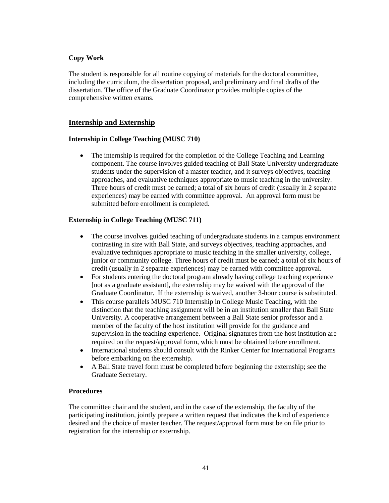### **Copy Work**

The student is responsible for all routine copying of materials for the doctoral committee, including the curriculum, the dissertation proposal, and preliminary and final drafts of the dissertation. The office of the Graduate Coordinator provides multiple copies of the comprehensive written exams.

### **Internship and Externship**

#### **Internship in College Teaching (MUSC 710)**

 The internship is required for the completion of the College Teaching and Learning component. The course involves guided teaching of Ball State University undergraduate students under the supervision of a master teacher, and it surveys objectives, teaching approaches, and evaluative techniques appropriate to music teaching in the university. Three hours of credit must be earned; a total of six hours of credit (usually in 2 separate experiences) may be earned with committee approval. An approval form must be submitted before enrollment is completed.

### **Externship in College Teaching (MUSC 711)**

- The course involves guided teaching of undergraduate students in a campus environment contrasting in size with Ball State, and surveys objectives, teaching approaches, and evaluative techniques appropriate to music teaching in the smaller university, college, junior or community college. Three hours of credit must be earned; a total of six hours of credit (usually in 2 separate experiences) may be earned with committee approval.
- For students entering the doctoral program already having college teaching experience [not as a graduate assistant], the externship may be waived with the approval of the Graduate Coordinator. If the externship is waived, another 3-hour course is substituted.
- This course parallels MUSC 710 Internship in College Music Teaching, with the distinction that the teaching assignment will be in an institution smaller than Ball State University. A cooperative arrangement between a Ball State senior professor and a member of the faculty of the host institution will provide for the guidance and supervision in the teaching experience. Original signatures from the host institution are required on the request/approval form, which must be obtained before enrollment.
- International students should consult with the Rinker Center for International Programs before embarking on the externship.
- A Ball State travel form must be completed before beginning the externship; see the Graduate Secretary.

### **Procedures**

The committee chair and the student, and in the case of the externship, the faculty of the participating institution, jointly prepare a written request that indicates the kind of experience desired and the choice of master teacher. The request/approval form must be on file prior to registration for the internship or externship.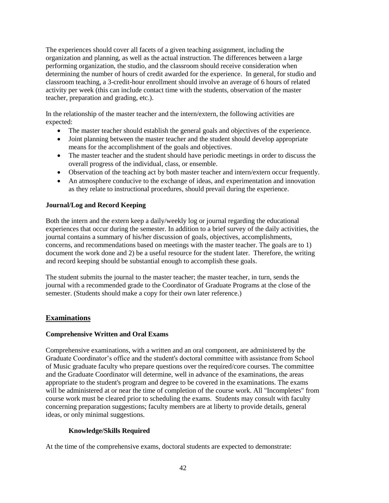The experiences should cover all facets of a given teaching assignment, including the organization and planning, as well as the actual instruction. The differences between a large performing organization, the studio, and the classroom should receive consideration when determining the number of hours of credit awarded for the experience. In general, for studio and classroom teaching, a 3-credit-hour enrollment should involve an average of 6 hours of related activity per week (this can include contact time with the students, observation of the master teacher, preparation and grading, etc.).

In the relationship of the master teacher and the intern/extern, the following activities are expected:

- The master teacher should establish the general goals and objectives of the experience.
- Joint planning between the master teacher and the student should develop appropriate means for the accomplishment of the goals and objectives.
- The master teacher and the student should have periodic meetings in order to discuss the overall progress of the individual, class, or ensemble.
- Observation of the teaching act by both master teacher and intern/extern occur frequently.
- An atmosphere conducive to the exchange of ideas, and experimentation and innovation as they relate to instructional procedures, should prevail during the experience.

### **Journal/Log and Record Keeping**

Both the intern and the extern keep a daily/weekly log or journal regarding the educational experiences that occur during the semester. In addition to a brief survey of the daily activities, the journal contains a summary of his/her discussion of goals, objectives, accomplishments, concerns, and recommendations based on meetings with the master teacher. The goals are to 1) document the work done and 2) be a useful resource for the student later. Therefore, the writing and record keeping should be substantial enough to accomplish these goals.

The student submits the journal to the master teacher; the master teacher, in turn, sends the journal with a recommended grade to the Coordinator of Graduate Programs at the close of the semester. (Students should make a copy for their own later reference.)

### **Examinations**

### **Comprehensive Written and Oral Exams**

Comprehensive examinations, with a written and an oral component, are administered by the Graduate Coordinator's office and the student's doctoral committee with assistance from School of Music graduate faculty who prepare questions over the required/core courses. The committee and the Graduate Coordinator will determine, well in advance of the examinations, the areas appropriate to the student's program and degree to be covered in the examinations. The exams will be administered at or near the time of completion of the course work. All "Incompletes" from course work must be cleared prior to scheduling the exams. Students may consult with faculty concerning preparation suggestions; faculty members are at liberty to provide details, general ideas, or only minimal suggestions.

### **Knowledge/Skills Required**

At the time of the comprehensive exams, doctoral students are expected to demonstrate: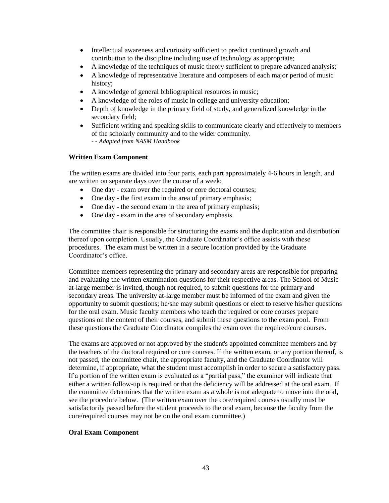- Intellectual awareness and curiosity sufficient to predict continued growth and contribution to the discipline including use of technology as appropriate;
- A knowledge of the techniques of music theory sufficient to prepare advanced analysis;
- A knowledge of representative literature and composers of each major period of music history;
- A knowledge of general bibliographical resources in music;
- A knowledge of the roles of music in college and university education;
- Depth of knowledge in the primary field of study, and generalized knowledge in the secondary field;
- Sufficient writing and speaking skills to communicate clearly and effectively to members of the scholarly community and to the wider community. *- - Adapted from NASM Handbook*

### **Written Exam Component**

The written exams are divided into four parts, each part approximately 4-6 hours in length, and are written on separate days over the course of a week:

- One day exam over the required or core doctoral courses;
- One day the first exam in the area of primary emphasis;
- One day the second exam in the area of primary emphasis;
- One day exam in the area of secondary emphasis.

The committee chair is responsible for structuring the exams and the duplication and distribution thereof upon completion. Usually, the Graduate Coordinator's office assists with these procedures. The exam must be written in a secure location provided by the Graduate Coordinator's office.

Committee members representing the primary and secondary areas are responsible for preparing and evaluating the written examination questions for their respective areas. The School of Music at-large member is invited, though not required, to submit questions for the primary and secondary areas. The university at-large member must be informed of the exam and given the opportunity to submit questions; he/she may submit questions or elect to reserve his/her questions for the oral exam. Music faculty members who teach the required or core courses prepare questions on the content of their courses, and submit these questions to the exam pool. From these questions the Graduate Coordinator compiles the exam over the required/core courses.

The exams are approved or not approved by the student's appointed committee members and by the teachers of the doctoral required or core courses. If the written exam, or any portion thereof, is not passed, the committee chair, the appropriate faculty, and the Graduate Coordinator will determine, if appropriate, what the student must accomplish in order to secure a satisfactory pass. If a portion of the written exam is evaluated as a "partial pass," the examiner will indicate that either a written follow-up is required or that the deficiency will be addressed at the oral exam. If the committee determines that the written exam as a whole is not adequate to move into the oral, see the procedure below. (The written exam over the core/required courses usually must be satisfactorily passed before the student proceeds to the oral exam, because the faculty from the core/required courses may not be on the oral exam committee.)

### **Oral Exam Component**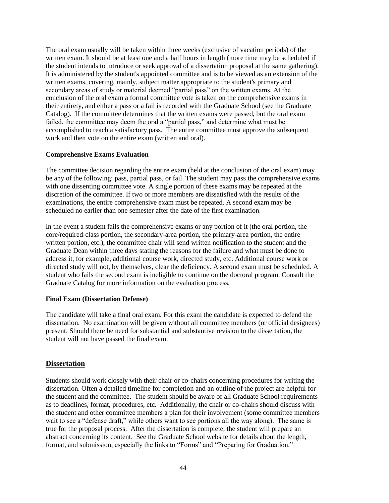The oral exam usually will be taken within three weeks (exclusive of vacation periods) of the written exam. It should be at least one and a half hours in length (more time may be scheduled if the student intends to introduce or seek approval of a dissertation proposal at the same gathering). It is administered by the student's appointed committee and is to be viewed as an extension of the written exams, covering, mainly, subject matter appropriate to the student's primary and secondary areas of study or material deemed "partial pass" on the written exams. At the conclusion of the oral exam a formal committee vote is taken on the comprehensive exams in their entirety, and either a pass or a fail is recorded with the Graduate School (see the Graduate Catalog). If the committee determines that the written exams were passed, but the oral exam failed, the committee may deem the oral a "partial pass," and determine what must be accomplished to reach a satisfactory pass. The entire committee must approve the subsequent work and then vote on the entire exam (written and oral).

#### **Comprehensive Exams Evaluation**

The committee decision regarding the entire exam (held at the conclusion of the oral exam) may be any of the following: pass, partial pass, or fail. The student may pass the comprehensive exams with one dissenting committee vote. A single portion of these exams may be repeated at the discretion of the committee. If two or more members are dissatisfied with the results of the examinations, the entire comprehensive exam must be repeated. A second exam may be scheduled no earlier than one semester after the date of the first examination.

In the event a student fails the comprehensive exams or any portion of it (the oral portion, the core/required-class portion, the secondary-area portion, the primary-area portion, the entire written portion, etc.), the committee chair will send written notification to the student and the Graduate Dean within three days stating the reasons for the failure and what must be done to address it, for example, additional course work, directed study, etc. Additional course work or directed study will not, by themselves, clear the deficiency. A second exam must be scheduled. A student who fails the second exam is ineligible to continue on the doctoral program. Consult the Graduate Catalog for more information on the evaluation process.

### **Final Exam (Dissertation Defense)**

The candidate will take a final oral exam. For this exam the candidate is expected to defend the dissertation. No examination will be given without all committee members (or official designees) present. Should there be need for substantial and substantive revision to the dissertation, the student will not have passed the final exam.

### **Dissertation**

Students should work closely with their chair or co-chairs concerning procedures for writing the dissertation. Often a detailed timeline for completion and an outline of the project are helpful for the student and the committee. The student should be aware of all Graduate School requirements as to deadlines, format, procedures, etc. Additionally, the chair or co-chairs should discuss with the student and other committee members a plan for their involvement (some committee members wait to see a "defense draft," while others want to see portions all the way along). The same is true for the proposal process. After the dissertation is complete, the student will prepare an abstract concerning its content. See the Graduate School website for details about the length, format, and submission, especially the links to "Forms" and "Preparing for Graduation."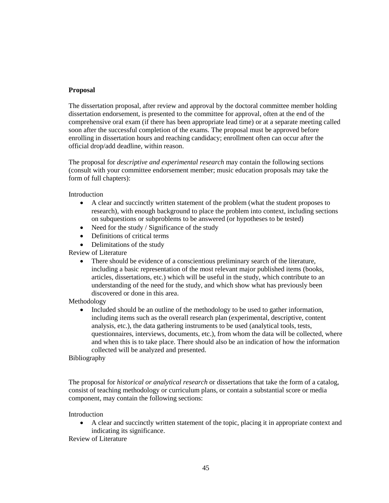#### **Proposal**

The dissertation proposal, after review and approval by the doctoral committee member holding dissertation endorsement, is presented to the committee for approval, often at the end of the comprehensive oral exam (if there has been appropriate lead time) or at a separate meeting called soon after the successful completion of the exams. The proposal must be approved before enrolling in dissertation hours and reaching candidacy; enrollment often can occur after the official drop/add deadline, within reason.

The proposal for *descriptive and experimental research* may contain the following sections (consult with your committee endorsement member; music education proposals may take the form of full chapters):

Introduction

- A clear and succinctly written statement of the problem (what the student proposes to research), with enough background to place the problem into context, including sections on subquestions or subproblems to be answered (or hypotheses to be tested)
- $\bullet$  Need for the study / Significance of the study
- Definitions of critical terms
- Delimitations of the study

Review of Literature

 There should be evidence of a conscientious preliminary search of the literature, including a basic representation of the most relevant major published items (books, articles, dissertations, etc.) which will be useful in the study, which contribute to an understanding of the need for the study, and which show what has previously been discovered or done in this area.

Methodology

 Included should be an outline of the methodology to be used to gather information, including items such as the overall research plan (experimental, descriptive, content analysis, etc.), the data gathering instruments to be used (analytical tools, tests, questionnaires, interviews, documents, etc.), from whom the data will be collected, where and when this is to take place. There should also be an indication of how the information collected will be analyzed and presented.

Bibliography

The proposal for *historical or analytical research* or dissertations that take the form of a catalog, consist of teaching methodology or curriculum plans, or contain a substantial score or media component, may contain the following sections:

Introduction

 A clear and succinctly written statement of the topic, placing it in appropriate context and indicating its significance.

Review of Literature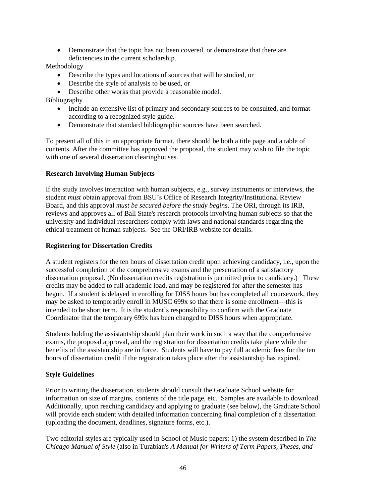Demonstrate that the topic has not been covered, or demonstrate that there are deficiencies in the current scholarship.

Methodology

- Describe the types and locations of sources that will be studied, or
- Describe the style of analysis to be used, or
- Describe other works that provide a reasonable model.

Bibliography

- Include an extensive list of primary and secondary sources to be consulted, and format according to a recognized style guide.
- Demonstrate that standard bibliographic sources have been searched.

To present all of this in an appropriate format, there should be both a title page and a table of contents. After the committee has approved the proposal, the student may wish to file the topic with one of several dissertation clearinghouses.

### **Research Involving Human Subjects**

If the study involves interaction with human subjects, e.g., survey instruments or interviews, the student *must* obtain approval from BSU's Office of Research Integrity/Institutional Review Board, and this approval *must be secured before the study begins*. The ORI, through its IRB, reviews and approves all of Ball State's research protocols involving human subjects so that the university and individual researchers comply with laws and national standards regarding the ethical treatment of human subjects. See the ORI/IRB website for details.

### **Registering for Dissertation Credits**

A student registers for the ten hours of dissertation credit upon achieving candidacy, i.e., upon the successful completion of the comprehensive exams and the presentation of a satisfactory dissertation proposal. (No dissertation credits registration is permitted prior to candidacy.) These credits may be added to full academic load, and may be registered for after the semester has begun. If a student is delayed in enrolling for DISS hours but has completed all coursework, they may be asked to temporarily enroll in MUSC 699x so that there is some enrollment—this is intended to be short term. It is the student's responsibility to confirm with the Graduate Coordinator that the temporary 699x has been changed to DISS hours when appropriate.

Students holding the assistantship should plan their work in such a way that the comprehensive exams, the proposal approval, and the registration for dissertation credits take place while the benefits of the assistantship are in force. Students will have to pay full academic fees for the ten hours of dissertation credit if the registration takes place after the assistantship has expired.

### **Style Guidelines**

Prior to writing the dissertation, students should consult the Graduate School website for information on size of margins, contents of the title page, etc. Samples are available to download. Additionally, upon reaching candidacy and applying to graduate (see below), the Graduate School will provide each student with detailed information concerning final completion of a dissertation (uploading the document, deadlines, signature forms, etc.).

Two editorial styles are typically used in School of Music papers: 1) the system described in *The Chicago Manual of Style* (also in Turabian's *A Manual for Writers of Term Papers, Theses, and*